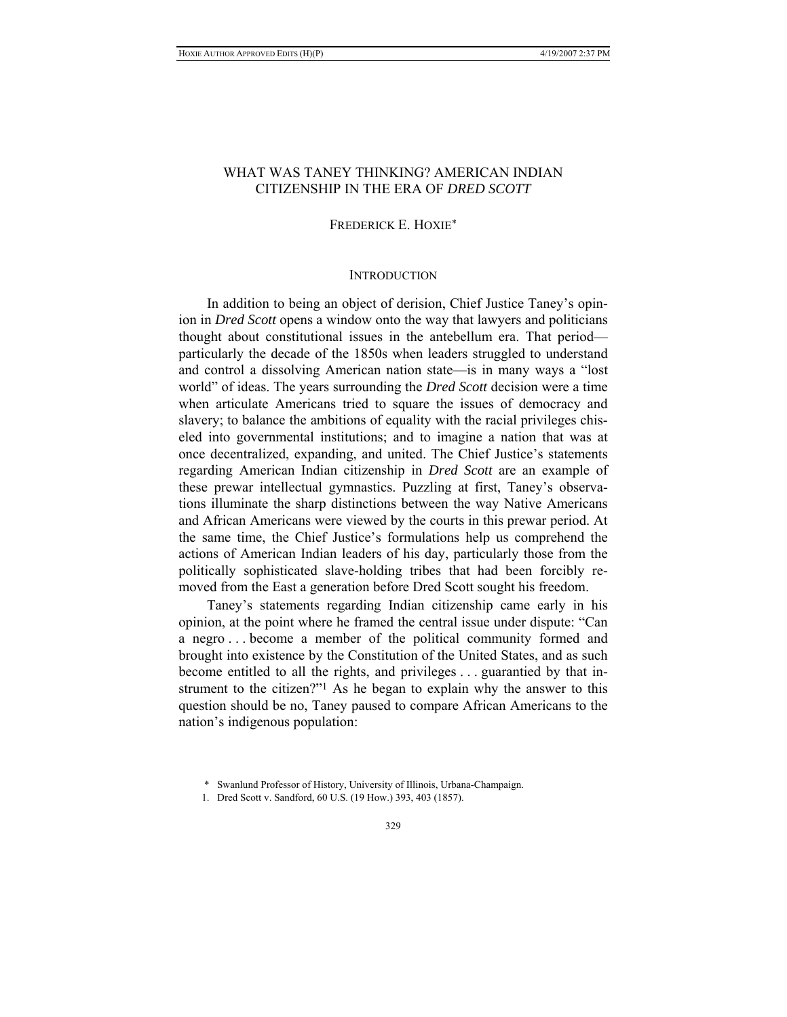# WHAT WAS TANEY THINKING? AMERICAN INDIAN CITIZENSHIP IN THE ERA OF *DRED SCOTT*

# FREDERICK E. HOXIE\*

# **INTRODUCTION**

In addition to being an object of derision, Chief Justice Taney's opinion in *Dred Scott* opens a window onto the way that lawyers and politicians thought about constitutional issues in the antebellum era. That period particularly the decade of the 1850s when leaders struggled to understand and control a dissolving American nation state—is in many ways a "lost world" of ideas. The years surrounding the *Dred Scott* decision were a time when articulate Americans tried to square the issues of democracy and slavery; to balance the ambitions of equality with the racial privileges chiseled into governmental institutions; and to imagine a nation that was at once decentralized, expanding, and united. The Chief Justice's statements regarding American Indian citizenship in *Dred Scott* are an example of these prewar intellectual gymnastics. Puzzling at first, Taney's observations illuminate the sharp distinctions between the way Native Americans and African Americans were viewed by the courts in this prewar period. At the same time, the Chief Justice's formulations help us comprehend the actions of American Indian leaders of his day, particularly those from the politically sophisticated slave-holding tribes that had been forcibly removed from the East a generation before Dred Scott sought his freedom.

Taney's statements regarding Indian citizenship came early in his opinion, at the point where he framed the central issue under dispute: "Can a negro . . . become a member of the political community formed and brought into existence by the Constitution of the United States, and as such become entitled to all the rights, and privileges . . . guarantied by that instrument to the citizen?"1 As he began to explain why the answer to this question should be no, Taney paused to compare African Americans to the nation's indigenous population:

 <sup>\*</sup> Swanlund Professor of History, University of Illinois, Urbana-Champaign.

 <sup>1.</sup> Dred Scott v. Sandford, 60 U.S. (19 How.) 393, 403 (1857).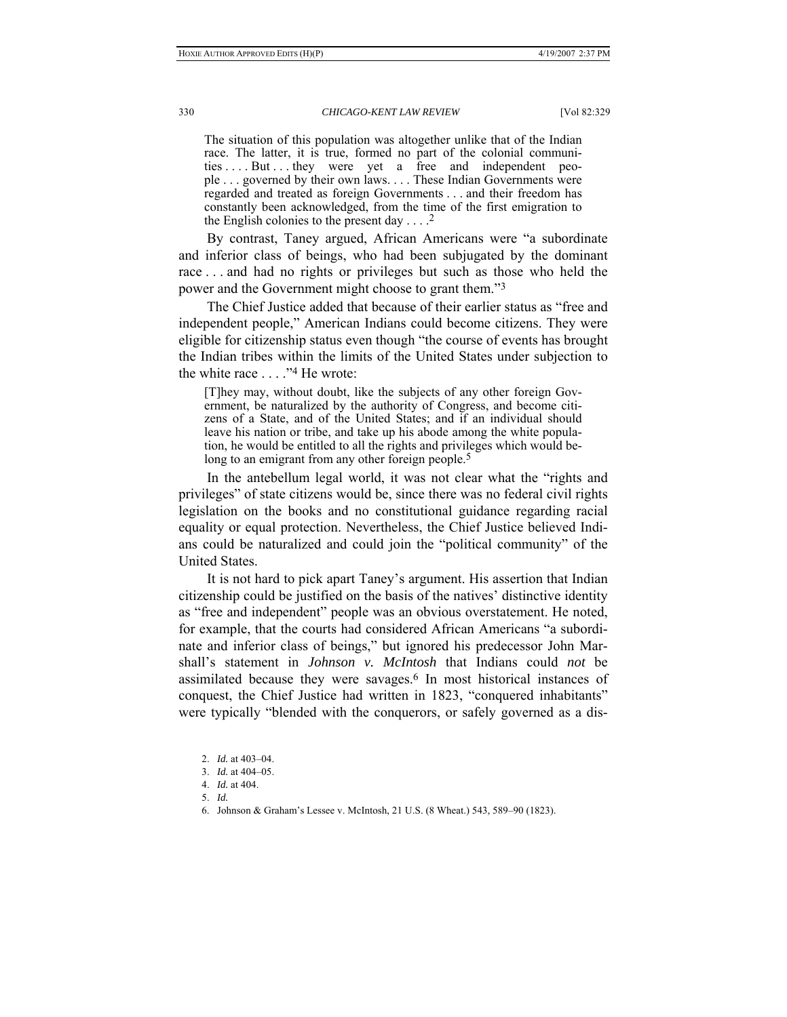The situation of this population was altogether unlike that of the Indian race. The latter, it is true, formed no part of the colonial communities . . . But . . . they were yet a free and independent people . . . governed by their own laws. . . . These Indian Governments were regarded and treated as foreign Governments . . . and their freedom has constantly been acknowledged, from the time of the first emigration to the English colonies to the present day  $\ldots$ .<sup>2</sup>

By contrast, Taney argued, African Americans were "a subordinate and inferior class of beings, who had been subjugated by the dominant race . . . and had no rights or privileges but such as those who held the power and the Government might choose to grant them."3

The Chief Justice added that because of their earlier status as "free and independent people," American Indians could become citizens. They were eligible for citizenship status even though "the course of events has brought the Indian tribes within the limits of the United States under subjection to the white race . . . ."4 He wrote:

[T]hey may, without doubt, like the subjects of any other foreign Government, be naturalized by the authority of Congress, and become citizens of a State, and of the United States; and if an individual should leave his nation or tribe, and take up his abode among the white population, he would be entitled to all the rights and privileges which would belong to an emigrant from any other foreign people.<sup>5</sup>

In the antebellum legal world, it was not clear what the "rights and privileges" of state citizens would be, since there was no federal civil rights legislation on the books and no constitutional guidance regarding racial equality or equal protection. Nevertheless, the Chief Justice believed Indians could be naturalized and could join the "political community" of the United States.

It is not hard to pick apart Taney's argument. His assertion that Indian citizenship could be justified on the basis of the natives' distinctive identity as "free and independent" people was an obvious overstatement. He noted, for example, that the courts had considered African Americans "a subordinate and inferior class of beings," but ignored his predecessor John Marshall's statement in *Johnson v. McIntosh* that Indians could *not* be assimilated because they were savages.6 In most historical instances of conquest, the Chief Justice had written in 1823, "conquered inhabitants" were typically "blended with the conquerors, or safely governed as a dis-

 <sup>2.</sup> *Id.* at 403–04.

 <sup>3.</sup> *Id.* at 404–05.

 <sup>4.</sup> *Id.* at 404.

 <sup>5.</sup> *Id.*

 <sup>6.</sup> Johnson & Graham's Lessee v. McIntosh, 21 U.S. (8 Wheat.) 543, 589–90 (1823).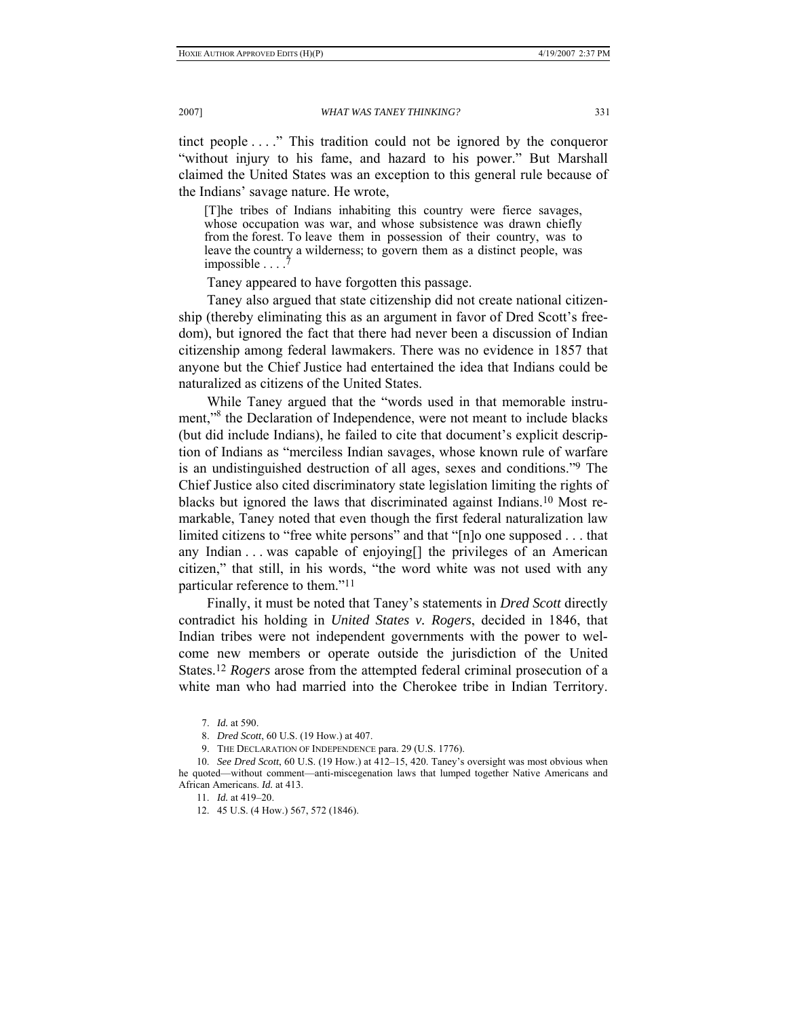tinct people . . . ." This tradition could not be ignored by the conqueror "without injury to his fame, and hazard to his power." But Marshall claimed the United States was an exception to this general rule because of the Indians' savage nature. He wrote,

[T]he tribes of Indians inhabiting this country were fierce savages, whose occupation was war, and whose subsistence was drawn chiefly from the forest. To leave them in possession of their country, was to leave the country a wilderness; to govern them as a distinct people, was impossible . . . .<sup>7</sup>

Taney appeared to have forgotten this passage.

Taney also argued that state citizenship did not create national citizenship (thereby eliminating this as an argument in favor of Dred Scott's freedom), but ignored the fact that there had never been a discussion of Indian citizenship among federal lawmakers. There was no evidence in 1857 that anyone but the Chief Justice had entertained the idea that Indians could be naturalized as citizens of the United States.

While Taney argued that the "words used in that memorable instrument,"<sup>8</sup> the Declaration of Independence, were not meant to include blacks (but did include Indians), he failed to cite that document's explicit description of Indians as "merciless Indian savages, whose known rule of warfare is an undistinguished destruction of all ages, sexes and conditions."9 The Chief Justice also cited discriminatory state legislation limiting the rights of blacks but ignored the laws that discriminated against Indians.10 Most remarkable, Taney noted that even though the first federal naturalization law limited citizens to "free white persons" and that "[n]o one supposed . . . that any Indian . . . was capable of enjoying[] the privileges of an American citizen," that still, in his words, "the word white was not used with any particular reference to them."11

Finally, it must be noted that Taney's statements in *Dred Scott* directly contradict his holding in *United States v. Rogers*, decided in 1846, that Indian tribes were not independent governments with the power to welcome new members or operate outside the jurisdiction of the United States.12 *Rogers* arose from the attempted federal criminal prosecution of a white man who had married into the Cherokee tribe in Indian Territory.

 <sup>7.</sup> *Id.* at 590.

 <sup>8.</sup> *Dred Scott*, 60 U.S. (19 How.) at 407.

 <sup>9.</sup> THE DECLARATION OF INDEPENDENCE para. 29 (U.S. 1776).

 <sup>10.</sup> *See Dred Scott*, 60 U.S. (19 How.) at 412–15, 420. Taney's oversight was most obvious when he quoted—without comment—anti-miscegenation laws that lumped together Native Americans and African Americans. *Id.* at 413.

 <sup>11.</sup> *Id.* at 419–20.

<sup>12.</sup> 45 U.S. (4 How.) 567, 572 (1846).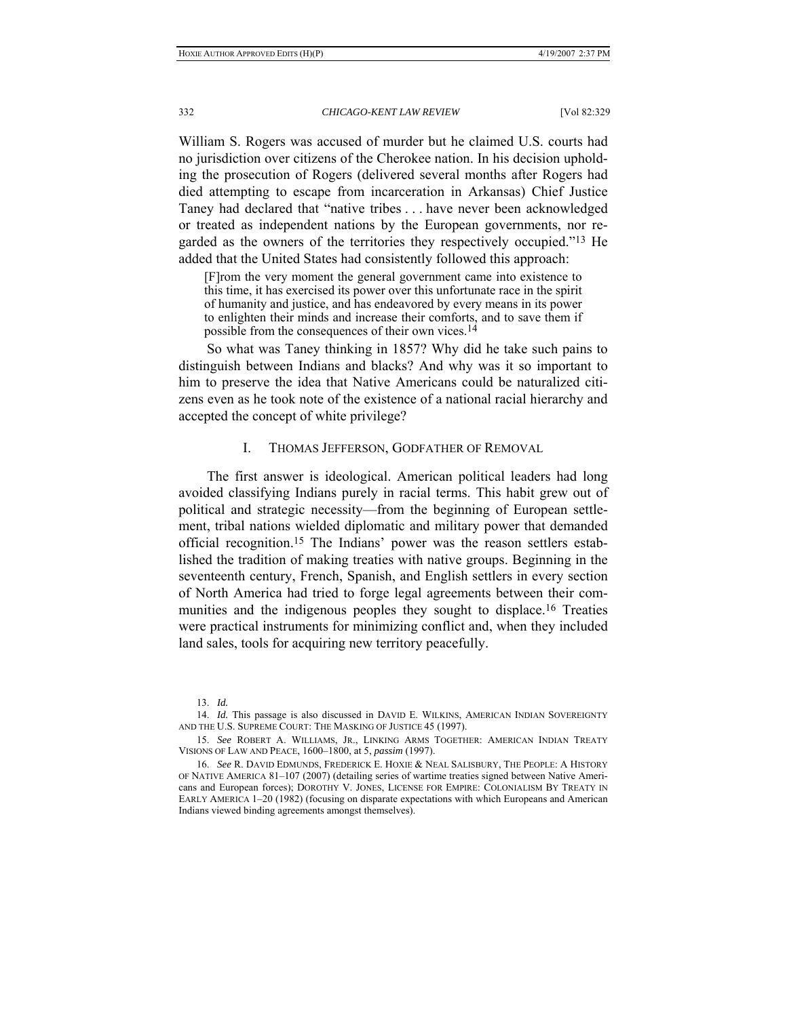William S. Rogers was accused of murder but he claimed U.S. courts had no jurisdiction over citizens of the Cherokee nation. In his decision upholding the prosecution of Rogers (delivered several months after Rogers had died attempting to escape from incarceration in Arkansas) Chief Justice Taney had declared that "native tribes . . . have never been acknowledged or treated as independent nations by the European governments, nor regarded as the owners of the territories they respectively occupied."13 He added that the United States had consistently followed this approach:

[F]rom the very moment the general government came into existence to this time, it has exercised its power over this unfortunate race in the spirit of humanity and justice, and has endeavored by every means in its power to enlighten their minds and increase their comforts, and to save them if possible from the consequences of their own vices.<sup>14</sup>

So what was Taney thinking in 1857? Why did he take such pains to distinguish between Indians and blacks? And why was it so important to him to preserve the idea that Native Americans could be naturalized citizens even as he took note of the existence of a national racial hierarchy and accepted the concept of white privilege?

# I. THOMAS JEFFERSON, GODFATHER OF REMOVAL

The first answer is ideological. American political leaders had long avoided classifying Indians purely in racial terms. This habit grew out of political and strategic necessity—from the beginning of European settlement, tribal nations wielded diplomatic and military power that demanded official recognition.15 The Indians' power was the reason settlers established the tradition of making treaties with native groups. Beginning in the seventeenth century, French, Spanish, and English settlers in every section of North America had tried to forge legal agreements between their communities and the indigenous peoples they sought to displace.16 Treaties were practical instruments for minimizing conflict and, when they included land sales, tools for acquiring new territory peacefully.

 <sup>13.</sup> *Id.*

<sup>14.</sup> *Id.* This passage is also discussed in DAVID E. WILKINS, AMERICAN INDIAN SOVEREIGNTY AND THE U.S. SUPREME COURT: THE MASKING OF JUSTICE 45 (1997).

 <sup>15.</sup> *See* ROBERT A. WILLIAMS, JR., LINKING ARMS TOGETHER: AMERICAN INDIAN TREATY VISIONS OF LAW AND PEACE, 1600–1800, at 5, *passim* (1997).

 <sup>16.</sup> *See* R. DAVID EDMUNDS, FREDERICK E. HOXIE & NEAL SALISBURY, THE PEOPLE: A HISTORY OF NATIVE AMERICA 81–107 (2007) (detailing series of wartime treaties signed between Native Americans and European forces); DOROTHY V. JONES, LICENSE FOR EMPIRE: COLONIALISM BY TREATY IN EARLY AMERICA 1–20 (1982) (focusing on disparate expectations with which Europeans and American Indians viewed binding agreements amongst themselves).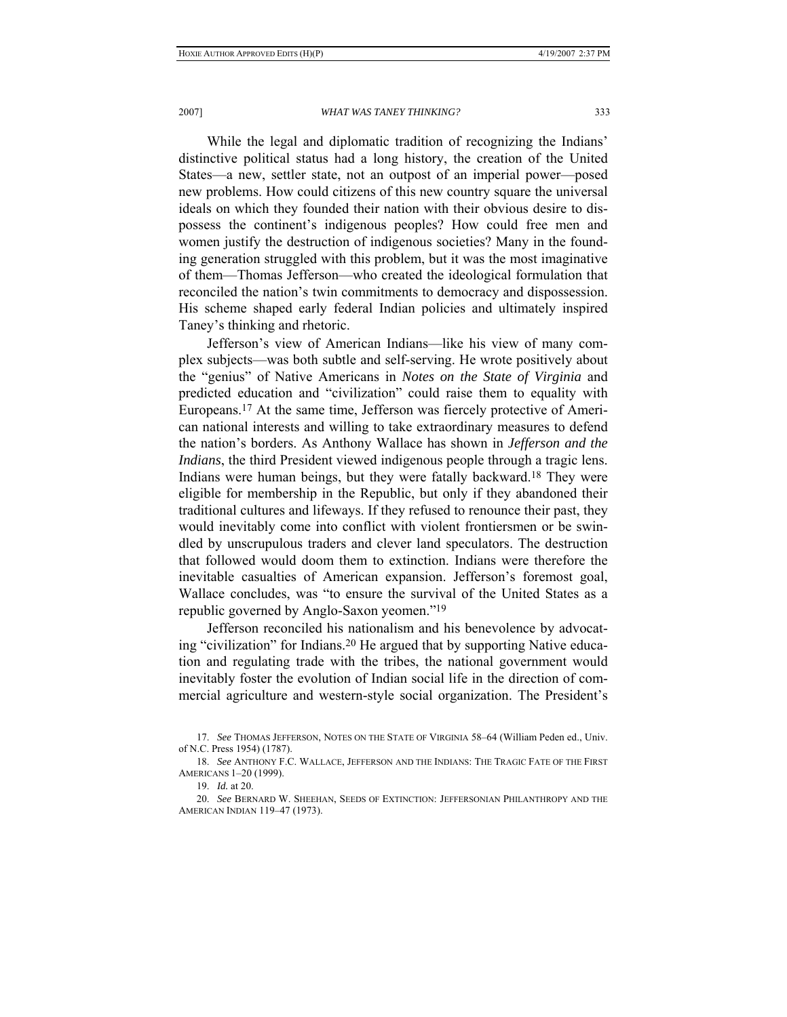While the legal and diplomatic tradition of recognizing the Indians' distinctive political status had a long history, the creation of the United States—a new, settler state, not an outpost of an imperial power—posed new problems. How could citizens of this new country square the universal ideals on which they founded their nation with their obvious desire to dispossess the continent's indigenous peoples? How could free men and women justify the destruction of indigenous societies? Many in the founding generation struggled with this problem, but it was the most imaginative of them—Thomas Jefferson—who created the ideological formulation that reconciled the nation's twin commitments to democracy and dispossession. His scheme shaped early federal Indian policies and ultimately inspired Taney's thinking and rhetoric.

Jefferson's view of American Indians—like his view of many complex subjects—was both subtle and self-serving. He wrote positively about the "genius" of Native Americans in *Notes on the State of Virginia* and predicted education and "civilization" could raise them to equality with Europeans.17 At the same time, Jefferson was fiercely protective of American national interests and willing to take extraordinary measures to defend the nation's borders. As Anthony Wallace has shown in *Jefferson and the Indians*, the third President viewed indigenous people through a tragic lens. Indians were human beings, but they were fatally backward.18 They were eligible for membership in the Republic, but only if they abandoned their traditional cultures and lifeways. If they refused to renounce their past, they would inevitably come into conflict with violent frontiersmen or be swindled by unscrupulous traders and clever land speculators. The destruction that followed would doom them to extinction. Indians were therefore the inevitable casualties of American expansion. Jefferson's foremost goal, Wallace concludes, was "to ensure the survival of the United States as a republic governed by Anglo-Saxon yeomen."19

Jefferson reconciled his nationalism and his benevolence by advocating "civilization" for Indians.20 He argued that by supporting Native education and regulating trade with the tribes, the national government would inevitably foster the evolution of Indian social life in the direction of commercial agriculture and western-style social organization. The President's

 <sup>17.</sup> *See* THOMAS JEFFERSON, NOTES ON THE STATE OF VIRGINIA 58–64 (William Peden ed., Univ. of N.C. Press 1954) (1787).

 <sup>18.</sup> *See* ANTHONY F.C. WALLACE, JEFFERSON AND THE INDIANS: THE TRAGIC FATE OF THE FIRST AMERICANS 1–20 (1999).

 <sup>19.</sup> *Id.* at 20.

 <sup>20.</sup> *See* BERNARD W. SHEEHAN, SEEDS OF EXTINCTION: JEFFERSONIAN PHILANTHROPY AND THE AMERICAN INDIAN 119–47 (1973).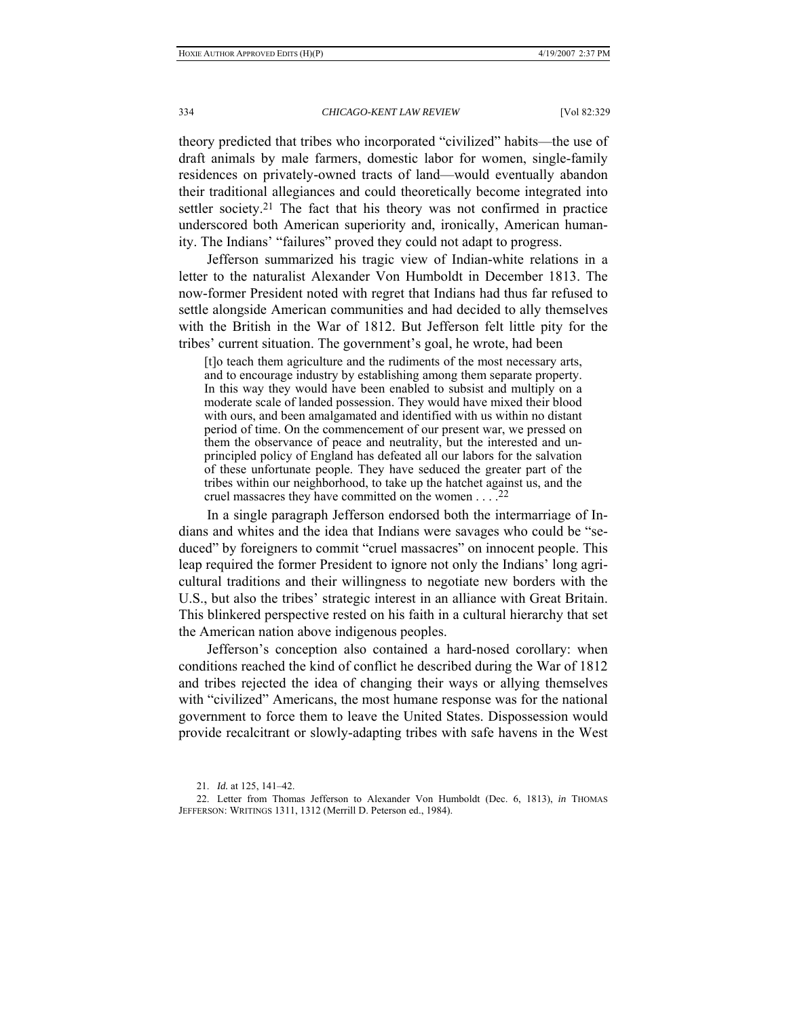theory predicted that tribes who incorporated "civilized" habits—the use of draft animals by male farmers, domestic labor for women, single-family residences on privately-owned tracts of land—would eventually abandon their traditional allegiances and could theoretically become integrated into settler society.21 The fact that his theory was not confirmed in practice underscored both American superiority and, ironically, American humanity. The Indians' "failures" proved they could not adapt to progress.

Jefferson summarized his tragic view of Indian-white relations in a letter to the naturalist Alexander Von Humboldt in December 1813. The now-former President noted with regret that Indians had thus far refused to settle alongside American communities and had decided to ally themselves with the British in the War of 1812. But Jefferson felt little pity for the tribes' current situation. The government's goal, he wrote, had been

[t]o teach them agriculture and the rudiments of the most necessary arts, and to encourage industry by establishing among them separate property. In this way they would have been enabled to subsist and multiply on a moderate scale of landed possession. They would have mixed their blood with ours, and been amalgamated and identified with us within no distant period of time. On the commencement of our present war, we pressed on them the observance of peace and neutrality, but the interested and unprincipled policy of England has defeated all our labors for the salvation of these unfortunate people. They have seduced the greater part of the tribes within our neighborhood, to take up the hatchet against us, and the cruel massacres they have committed on the women . . . .22

In a single paragraph Jefferson endorsed both the intermarriage of Indians and whites and the idea that Indians were savages who could be "seduced" by foreigners to commit "cruel massacres" on innocent people. This leap required the former President to ignore not only the Indians' long agricultural traditions and their willingness to negotiate new borders with the U.S., but also the tribes' strategic interest in an alliance with Great Britain. This blinkered perspective rested on his faith in a cultural hierarchy that set the American nation above indigenous peoples.

Jefferson's conception also contained a hard-nosed corollary: when conditions reached the kind of conflict he described during the War of 1812 and tribes rejected the idea of changing their ways or allying themselves with "civilized" Americans, the most humane response was for the national government to force them to leave the United States. Dispossession would provide recalcitrant or slowly-adapting tribes with safe havens in the West

 <sup>21.</sup> *Id.* at 125, 141–42.

 <sup>22.</sup> Letter from Thomas Jefferson to Alexander Von Humboldt (Dec. 6, 1813), *in* THOMAS JEFFERSON: WRITINGS 1311, 1312 (Merrill D. Peterson ed., 1984).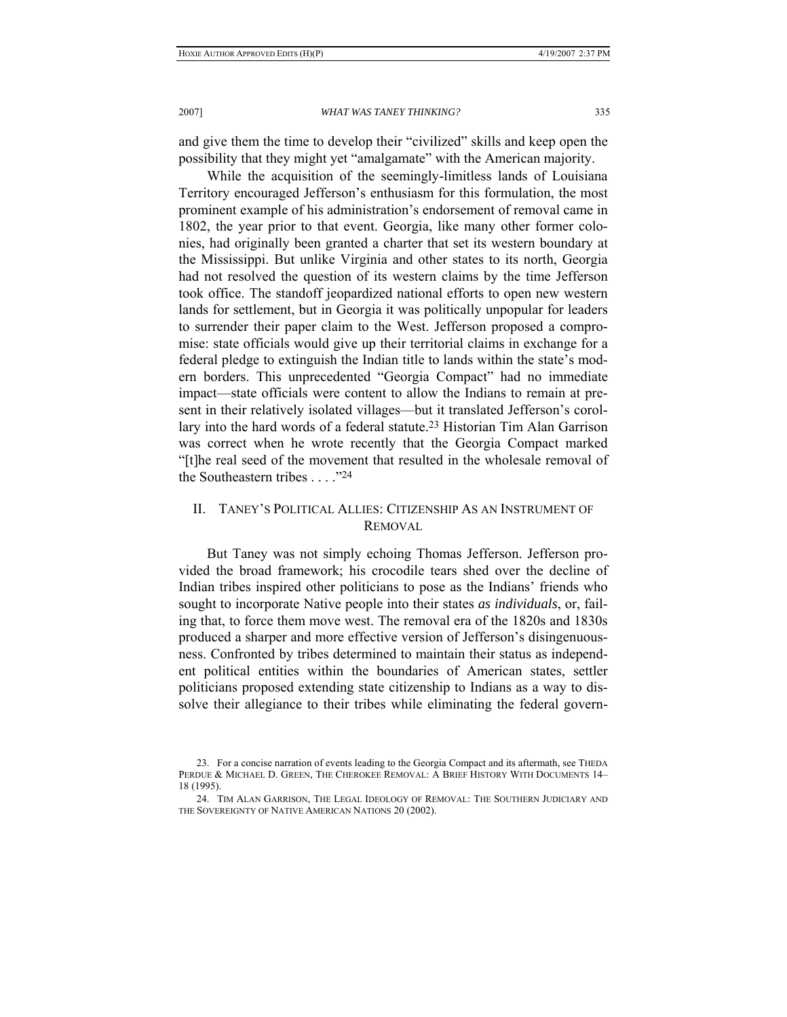and give them the time to develop their "civilized" skills and keep open the possibility that they might yet "amalgamate" with the American majority.

While the acquisition of the seemingly-limitless lands of Louisiana Territory encouraged Jefferson's enthusiasm for this formulation, the most prominent example of his administration's endorsement of removal came in 1802, the year prior to that event. Georgia, like many other former colonies, had originally been granted a charter that set its western boundary at the Mississippi. But unlike Virginia and other states to its north, Georgia had not resolved the question of its western claims by the time Jefferson took office. The standoff jeopardized national efforts to open new western lands for settlement, but in Georgia it was politically unpopular for leaders to surrender their paper claim to the West. Jefferson proposed a compromise: state officials would give up their territorial claims in exchange for a federal pledge to extinguish the Indian title to lands within the state's modern borders. This unprecedented "Georgia Compact" had no immediate impact—state officials were content to allow the Indians to remain at present in their relatively isolated villages—but it translated Jefferson's corollary into the hard words of a federal statute.23 Historian Tim Alan Garrison was correct when he wrote recently that the Georgia Compact marked "[t]he real seed of the movement that resulted in the wholesale removal of the Southeastern tribes . . . ."24

# II. TANEY'S POLITICAL ALLIES: CITIZENSHIP AS AN INSTRUMENT OF REMOVAL

But Taney was not simply echoing Thomas Jefferson. Jefferson provided the broad framework; his crocodile tears shed over the decline of Indian tribes inspired other politicians to pose as the Indians' friends who sought to incorporate Native people into their states *as individuals*, or, failing that, to force them move west. The removal era of the 1820s and 1830s produced a sharper and more effective version of Jefferson's disingenuousness. Confronted by tribes determined to maintain their status as independent political entities within the boundaries of American states, settler politicians proposed extending state citizenship to Indians as a way to dissolve their allegiance to their tribes while eliminating the federal govern-

 <sup>23.</sup> For a concise narration of events leading to the Georgia Compact and its aftermath, see THEDA PERDUE & MICHAEL D. GREEN, THE CHEROKEE REMOVAL: A BRIEF HISTORY WITH DOCUMENTS 14– 18 (1995).

 <sup>24.</sup> TIM ALAN GARRISON, THE LEGAL IDEOLOGY OF REMOVAL: THE SOUTHERN JUDICIARY AND THE SOVEREIGNTY OF NATIVE AMERICAN NATIONS 20 (2002).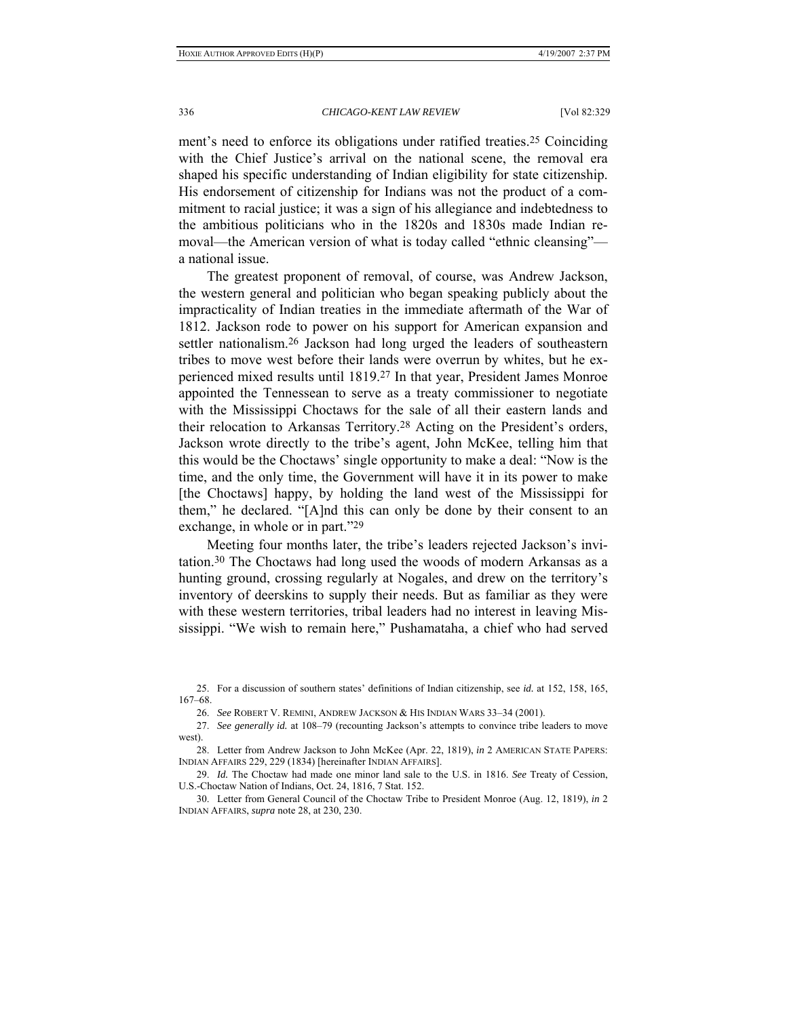ment's need to enforce its obligations under ratified treaties.<sup>25</sup> Coinciding with the Chief Justice's arrival on the national scene, the removal era shaped his specific understanding of Indian eligibility for state citizenship. His endorsement of citizenship for Indians was not the product of a commitment to racial justice; it was a sign of his allegiance and indebtedness to the ambitious politicians who in the 1820s and 1830s made Indian removal—the American version of what is today called "ethnic cleansing" a national issue.

The greatest proponent of removal, of course, was Andrew Jackson, the western general and politician who began speaking publicly about the impracticality of Indian treaties in the immediate aftermath of the War of 1812. Jackson rode to power on his support for American expansion and settler nationalism.26 Jackson had long urged the leaders of southeastern tribes to move west before their lands were overrun by whites, but he experienced mixed results until 1819.27 In that year, President James Monroe appointed the Tennessean to serve as a treaty commissioner to negotiate with the Mississippi Choctaws for the sale of all their eastern lands and their relocation to Arkansas Territory.28 Acting on the President's orders, Jackson wrote directly to the tribe's agent, John McKee, telling him that this would be the Choctaws' single opportunity to make a deal: "Now is the time, and the only time, the Government will have it in its power to make [the Choctaws] happy, by holding the land west of the Mississippi for them," he declared. "[A]nd this can only be done by their consent to an exchange, in whole or in part."29

Meeting four months later, the tribe's leaders rejected Jackson's invitation.30 The Choctaws had long used the woods of modern Arkansas as a hunting ground, crossing regularly at Nogales, and drew on the territory's inventory of deerskins to supply their needs. But as familiar as they were with these western territories, tribal leaders had no interest in leaving Mississippi. "We wish to remain here," Pushamataha, a chief who had served

 <sup>25.</sup> For a discussion of southern states' definitions of Indian citizenship, see *id.* at 152, 158, 165, 167–68.

 <sup>26.</sup> *See* ROBERT V. REMINI, ANDREW JACKSON & HIS INDIAN WARS 33–34 (2001).

 <sup>27.</sup> *See generally id.* at 108–79 (recounting Jackson's attempts to convince tribe leaders to move west).

 <sup>28.</sup> Letter from Andrew Jackson to John McKee (Apr. 22, 1819), *in* 2 AMERICAN STATE PAPERS: INDIAN AFFAIRS 229, 229 (1834) [hereinafter INDIAN AFFAIRS].

 <sup>29.</sup> *Id.* The Choctaw had made one minor land sale to the U.S. in 1816. *See* Treaty of Cession, U.S.-Choctaw Nation of Indians, Oct. 24, 1816, 7 Stat. 152.

<sup>30.</sup> Letter from General Council of the Choctaw Tribe to President Monroe (Aug. 12, 1819), *in* 2 INDIAN AFFAIRS, *supra* note 28, at 230, 230.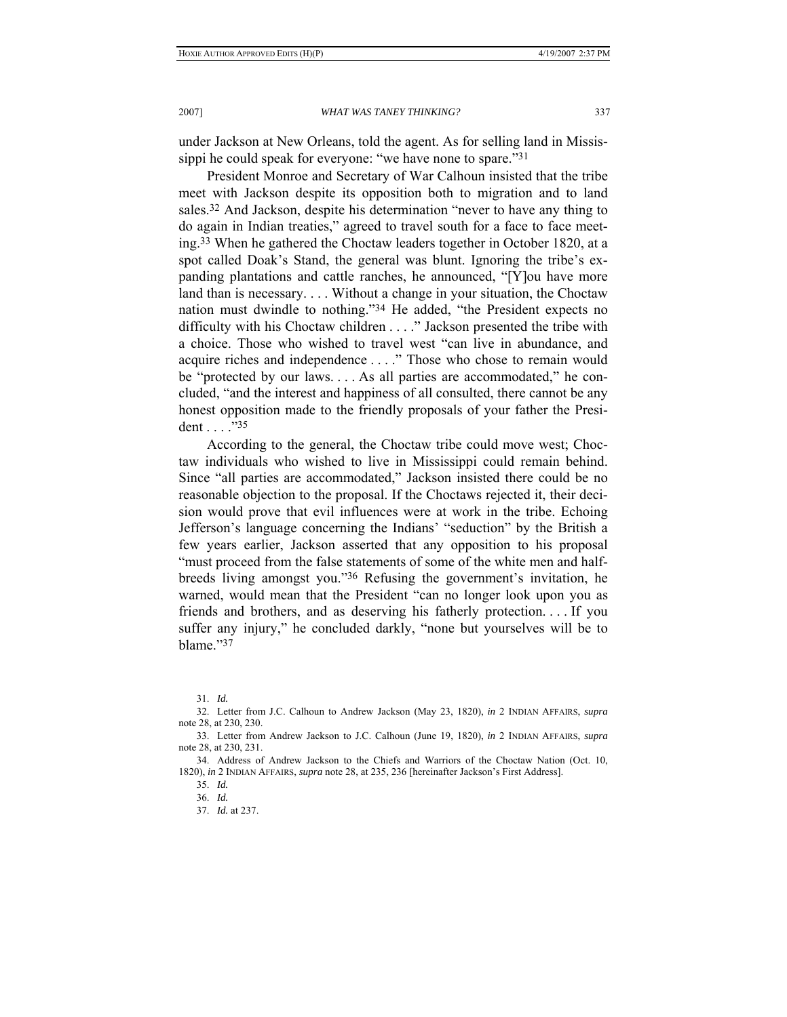under Jackson at New Orleans, told the agent. As for selling land in Mississippi he could speak for everyone: "we have none to spare."31

President Monroe and Secretary of War Calhoun insisted that the tribe meet with Jackson despite its opposition both to migration and to land sales.32 And Jackson, despite his determination "never to have any thing to do again in Indian treaties," agreed to travel south for a face to face meeting.33 When he gathered the Choctaw leaders together in October 1820, at a spot called Doak's Stand, the general was blunt. Ignoring the tribe's expanding plantations and cattle ranches, he announced, "[Y]ou have more land than is necessary. . . . Without a change in your situation, the Choctaw nation must dwindle to nothing."34 He added, "the President expects no difficulty with his Choctaw children . . . ." Jackson presented the tribe with a choice. Those who wished to travel west "can live in abundance, and acquire riches and independence . . . ." Those who chose to remain would be "protected by our laws. . . . As all parties are accommodated," he concluded, "and the interest and happiness of all consulted, there cannot be any honest opposition made to the friendly proposals of your father the President . . . ."35

According to the general, the Choctaw tribe could move west; Choctaw individuals who wished to live in Mississippi could remain behind. Since "all parties are accommodated," Jackson insisted there could be no reasonable objection to the proposal. If the Choctaws rejected it, their decision would prove that evil influences were at work in the tribe. Echoing Jefferson's language concerning the Indians' "seduction" by the British a few years earlier, Jackson asserted that any opposition to his proposal "must proceed from the false statements of some of the white men and halfbreeds living amongst you."36 Refusing the government's invitation, he warned, would mean that the President "can no longer look upon you as friends and brothers, and as deserving his fatherly protection. . . . If you suffer any injury," he concluded darkly, "none but yourselves will be to blame."37

 <sup>31.</sup> *Id.*

<sup>32.</sup> Letter from J.C. Calhoun to Andrew Jackson (May 23, 1820), *in* 2 INDIAN AFFAIRS, *supra* note 28, at 230, 230.

 <sup>33.</sup> Letter from Andrew Jackson to J.C. Calhoun (June 19, 1820), *in* 2 INDIAN AFFAIRS, *supra* note 28, at 230, 231.

 <sup>34.</sup> Address of Andrew Jackson to the Chiefs and Warriors of the Choctaw Nation (Oct. 10, 1820), *in* 2 INDIAN AFFAIRS, *supra* note 28, at 235, 236 [hereinafter Jackson's First Address].

 <sup>35.</sup> *Id.*

 <sup>36.</sup> *Id.*

 <sup>37.</sup> *Id.* at 237.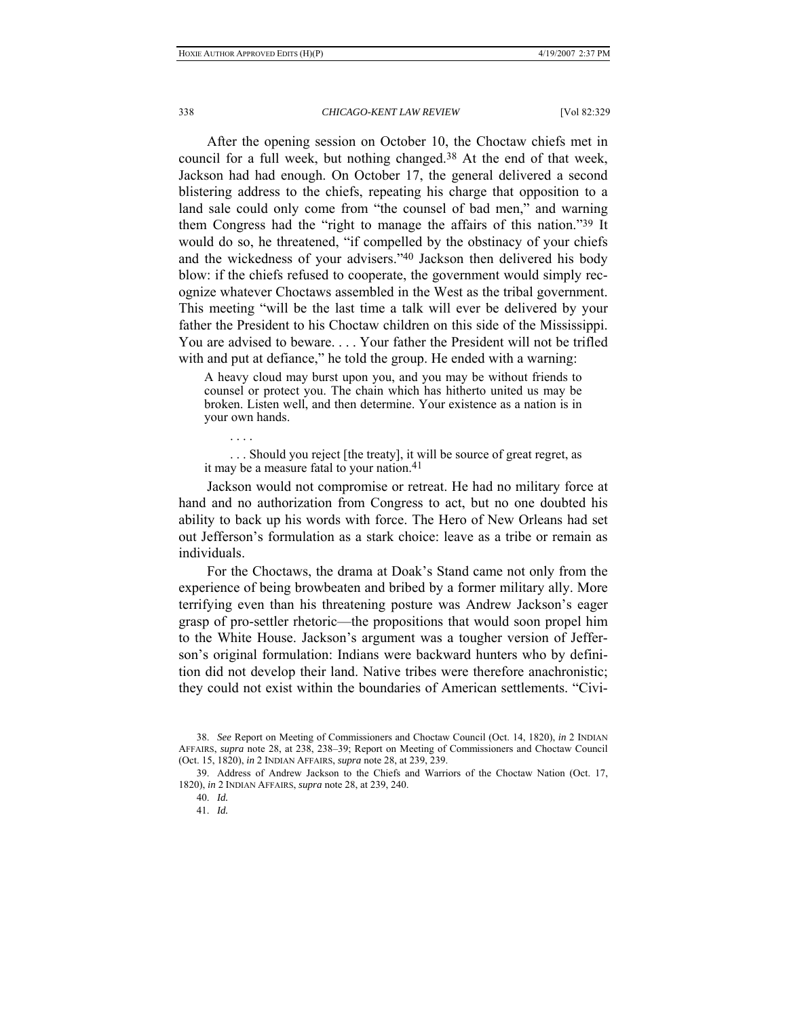After the opening session on October 10, the Choctaw chiefs met in council for a full week, but nothing changed.38 At the end of that week, Jackson had had enough. On October 17, the general delivered a second blistering address to the chiefs, repeating his charge that opposition to a land sale could only come from "the counsel of bad men," and warning them Congress had the "right to manage the affairs of this nation."39 It would do so, he threatened, "if compelled by the obstinacy of your chiefs and the wickedness of your advisers."40 Jackson then delivered his body blow: if the chiefs refused to cooperate, the government would simply recognize whatever Choctaws assembled in the West as the tribal government. This meeting "will be the last time a talk will ever be delivered by your father the President to his Choctaw children on this side of the Mississippi. You are advised to beware. . . . Your father the President will not be trifled with and put at defiance," he told the group. He ended with a warning:

A heavy cloud may burst upon you, and you may be without friends to counsel or protect you. The chain which has hitherto united us may be broken. Listen well, and then determine. Your existence as a nation is in your own hands.

. . . .

 . . . Should you reject [the treaty], it will be source of great regret, as it may be a measure fatal to your nation.41

Jackson would not compromise or retreat. He had no military force at hand and no authorization from Congress to act, but no one doubted his ability to back up his words with force. The Hero of New Orleans had set out Jefferson's formulation as a stark choice: leave as a tribe or remain as individuals.

For the Choctaws, the drama at Doak's Stand came not only from the experience of being browbeaten and bribed by a former military ally. More terrifying even than his threatening posture was Andrew Jackson's eager grasp of pro-settler rhetoric—the propositions that would soon propel him to the White House. Jackson's argument was a tougher version of Jefferson's original formulation: Indians were backward hunters who by definition did not develop their land. Native tribes were therefore anachronistic; they could not exist within the boundaries of American settlements. "Civi-

 <sup>38.</sup> *See* Report on Meeting of Commissioners and Choctaw Council (Oct. 14, 1820), *in* 2 INDIAN AFFAIRS, *supra* note 28, at 238, 238–39; Report on Meeting of Commissioners and Choctaw Council (Oct. 15, 1820), *in* 2 INDIAN AFFAIRS, *supra* note 28, at 239, 239.

 <sup>39.</sup> Address of Andrew Jackson to the Chiefs and Warriors of the Choctaw Nation (Oct. 17, 1820), *in* 2 INDIAN AFFAIRS, *supra* note 28, at 239, 240.

 <sup>40.</sup> *Id.*

 <sup>41.</sup> *Id.*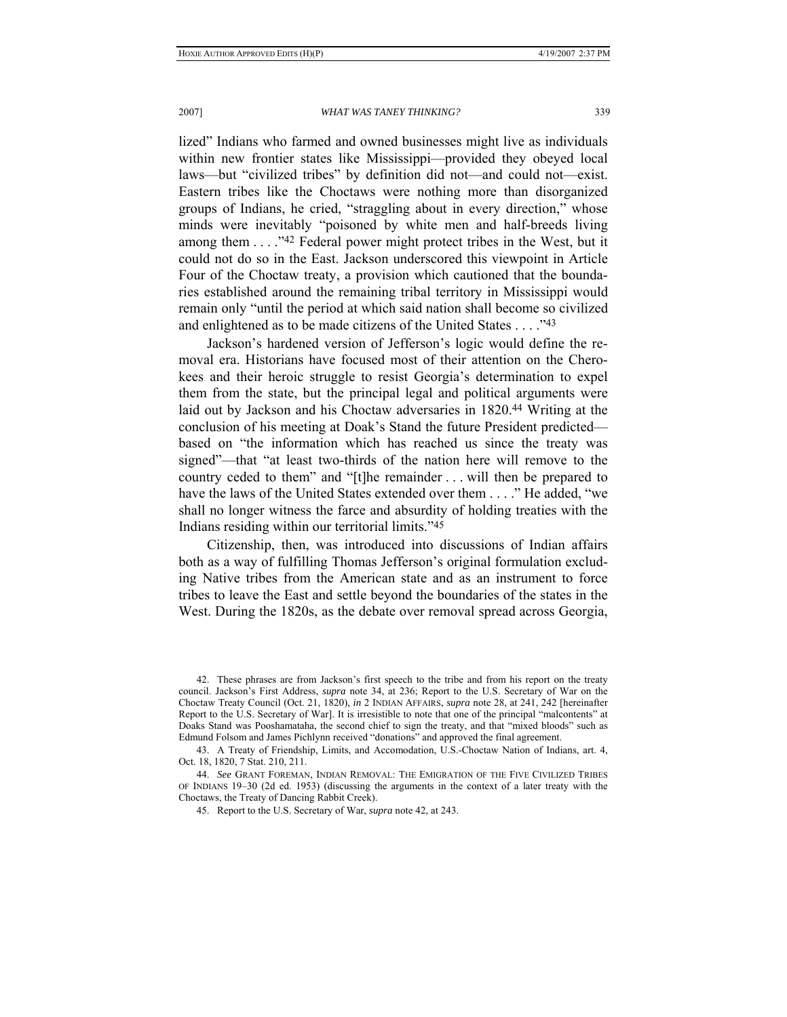lized" Indians who farmed and owned businesses might live as individuals within new frontier states like Mississippi—provided they obeyed local laws—but "civilized tribes" by definition did not—and could not—exist. Eastern tribes like the Choctaws were nothing more than disorganized groups of Indians, he cried, "straggling about in every direction," whose minds were inevitably "poisoned by white men and half-breeds living among them . . . ."42 Federal power might protect tribes in the West, but it could not do so in the East. Jackson underscored this viewpoint in Article Four of the Choctaw treaty, a provision which cautioned that the boundaries established around the remaining tribal territory in Mississippi would remain only "until the period at which said nation shall become so civilized and enlightened as to be made citizens of the United States . . . ."43

Jackson's hardened version of Jefferson's logic would define the removal era. Historians have focused most of their attention on the Cherokees and their heroic struggle to resist Georgia's determination to expel them from the state, but the principal legal and political arguments were laid out by Jackson and his Choctaw adversaries in 1820.44 Writing at the conclusion of his meeting at Doak's Stand the future President predicted based on "the information which has reached us since the treaty was signed"—that "at least two-thirds of the nation here will remove to the country ceded to them" and "[t]he remainder . . . will then be prepared to have the laws of the United States extended over them . . . ." He added, "we shall no longer witness the farce and absurdity of holding treaties with the Indians residing within our territorial limits."45

Citizenship, then, was introduced into discussions of Indian affairs both as a way of fulfilling Thomas Jefferson's original formulation excluding Native tribes from the American state and as an instrument to force tribes to leave the East and settle beyond the boundaries of the states in the West. During the 1820s, as the debate over removal spread across Georgia,

 <sup>42.</sup> These phrases are from Jackson's first speech to the tribe and from his report on the treaty council. Jackson's First Address, *supra* note 34, at 236; Report to the U.S. Secretary of War on the Choctaw Treaty Council (Oct. 21, 1820), *in* 2 INDIAN AFFAIRS, *supra* note 28, at 241, 242 [hereinafter Report to the U.S. Secretary of War]. It is irresistible to note that one of the principal "malcontents" at Doaks Stand was Pooshamataha, the second chief to sign the treaty, and that "mixed bloods" such as Edmund Folsom and James Pichlynn received "donations" and approved the final agreement.

 <sup>43.</sup> A Treaty of Friendship, Limits, and Accomodation, U.S.-Choctaw Nation of Indians, art. 4, Oct. 18, 1820, 7 Stat. 210, 211.

 <sup>44.</sup> *See* GRANT FOREMAN, INDIAN REMOVAL: THE EMIGRATION OF THE FIVE CIVILIZED TRIBES OF INDIANS 19–30 (2d ed. 1953) (discussing the arguments in the context of a later treaty with the Choctaws, the Treaty of Dancing Rabbit Creek).

<sup>45.</sup> Report to the U.S. Secretary of War, *supra* note 42, at 243.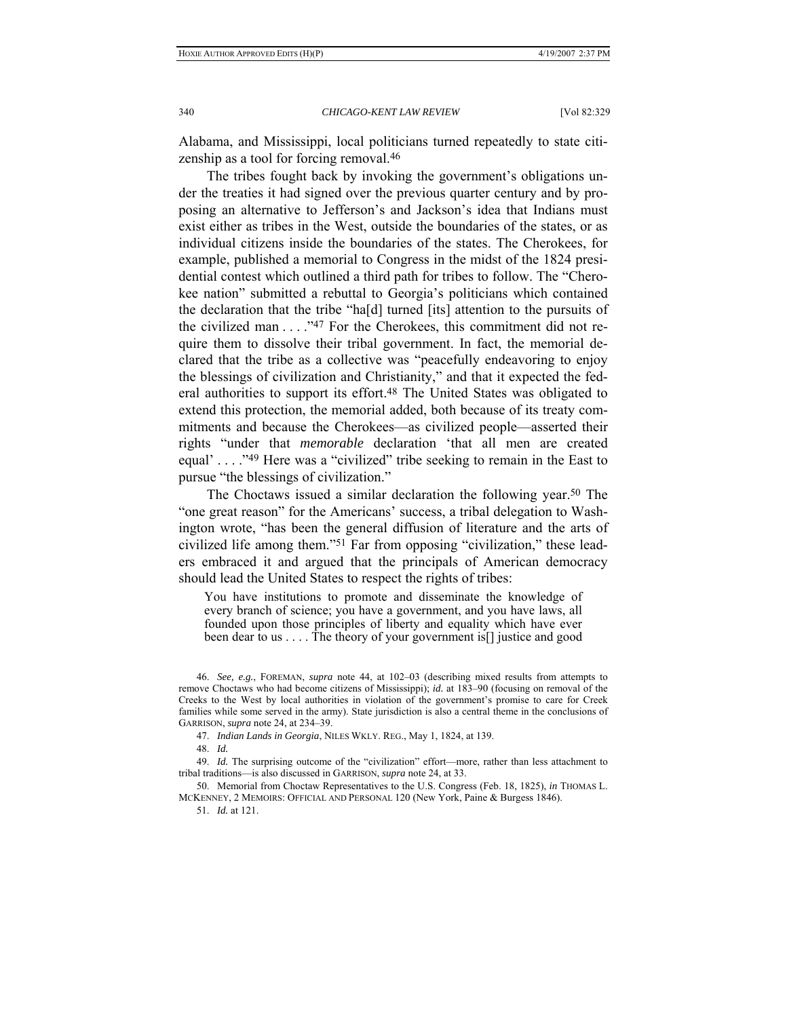Alabama, and Mississippi, local politicians turned repeatedly to state citizenship as a tool for forcing removal.46

The tribes fought back by invoking the government's obligations under the treaties it had signed over the previous quarter century and by proposing an alternative to Jefferson's and Jackson's idea that Indians must exist either as tribes in the West, outside the boundaries of the states, or as individual citizens inside the boundaries of the states. The Cherokees, for example, published a memorial to Congress in the midst of the 1824 presidential contest which outlined a third path for tribes to follow. The "Cherokee nation" submitted a rebuttal to Georgia's politicians which contained the declaration that the tribe "ha[d] turned [its] attention to the pursuits of the civilized man . . . ."47 For the Cherokees, this commitment did not require them to dissolve their tribal government. In fact, the memorial declared that the tribe as a collective was "peacefully endeavoring to enjoy the blessings of civilization and Christianity," and that it expected the federal authorities to support its effort.48 The United States was obligated to extend this protection, the memorial added, both because of its treaty commitments and because the Cherokees—as civilized people—asserted their rights "under that *memorable* declaration 'that all men are created equal' . . . ."49 Here was a "civilized" tribe seeking to remain in the East to pursue "the blessings of civilization."

The Choctaws issued a similar declaration the following year.50 The "one great reason" for the Americans' success, a tribal delegation to Washington wrote, "has been the general diffusion of literature and the arts of civilized life among them."51 Far from opposing "civilization," these leaders embraced it and argued that the principals of American democracy should lead the United States to respect the rights of tribes:

You have institutions to promote and disseminate the knowledge of every branch of science; you have a government, and you have laws, all founded upon those principles of liberty and equality which have ever been dear to us . . . . The theory of your government is[] justice and good

48. *Id.*

 49. *Id.* The surprising outcome of the "civilization" effort—more, rather than less attachment to tribal traditions—is also discussed in GARRISON, *supra* note 24, at 33.

 50. Memorial from Choctaw Representatives to the U.S. Congress (Feb. 18, 1825), *in* THOMAS L. MCKENNEY, 2 MEMOIRS: OFFICIAL AND PERSONAL 120 (New York, Paine & Burgess 1846).

51. *Id.* at 121.

 <sup>46.</sup> *See, e.g.*, FOREMAN, *supra* note 44, at 102–03 (describing mixed results from attempts to remove Choctaws who had become citizens of Mississippi); *id.* at 183–90 (focusing on removal of the Creeks to the West by local authorities in violation of the government's promise to care for Creek families while some served in the army). State jurisdiction is also a central theme in the conclusions of GARRISON, *supra* note 24, at 234–39.

<sup>47.</sup> *Indian Lands in Georgia*, NILES WKLY. REG., May 1, 1824, at 139.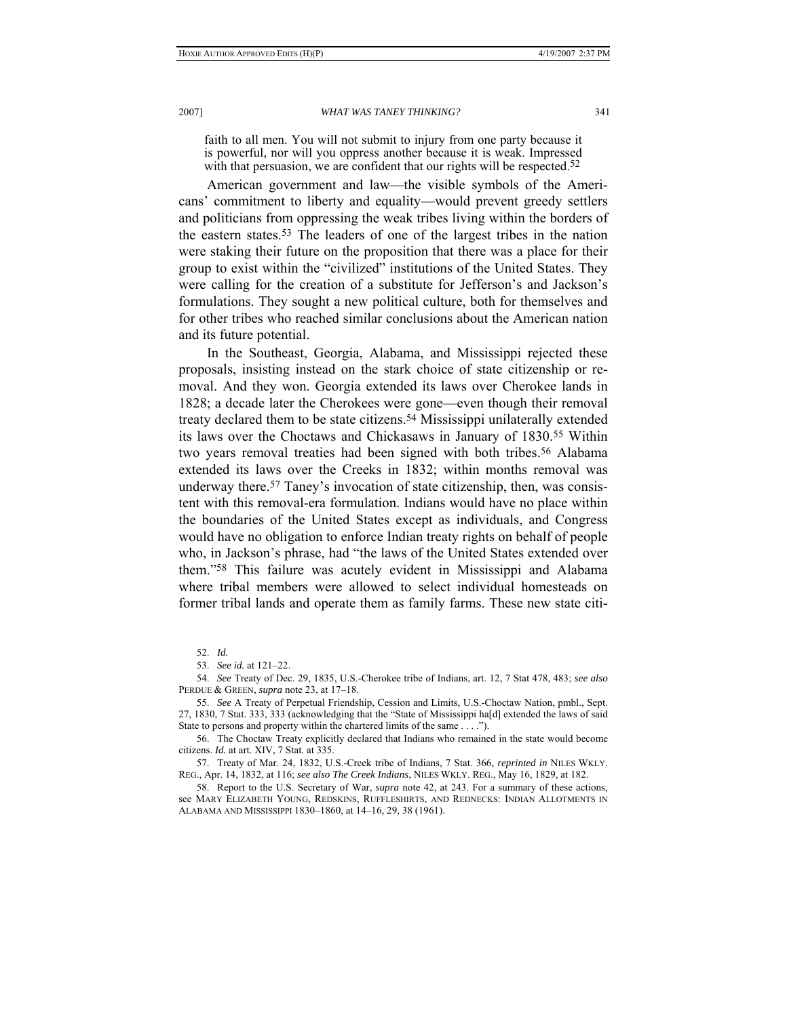faith to all men. You will not submit to injury from one party because it is powerful, nor will you oppress another because it is weak. Impressed with that persuasion, we are confident that our rights will be respected.<sup>52</sup>

American government and law—the visible symbols of the Americans' commitment to liberty and equality—would prevent greedy settlers and politicians from oppressing the weak tribes living within the borders of the eastern states.53 The leaders of one of the largest tribes in the nation were staking their future on the proposition that there was a place for their group to exist within the "civilized" institutions of the United States. They were calling for the creation of a substitute for Jefferson's and Jackson's formulations. They sought a new political culture, both for themselves and for other tribes who reached similar conclusions about the American nation and its future potential.

In the Southeast, Georgia, Alabama, and Mississippi rejected these proposals, insisting instead on the stark choice of state citizenship or removal. And they won. Georgia extended its laws over Cherokee lands in 1828; a decade later the Cherokees were gone—even though their removal treaty declared them to be state citizens.54 Mississippi unilaterally extended its laws over the Choctaws and Chickasaws in January of 1830.55 Within two years removal treaties had been signed with both tribes.56 Alabama extended its laws over the Creeks in 1832; within months removal was underway there.<sup>57</sup> Taney's invocation of state citizenship, then, was consistent with this removal-era formulation. Indians would have no place within the boundaries of the United States except as individuals, and Congress would have no obligation to enforce Indian treaty rights on behalf of people who, in Jackson's phrase, had "the laws of the United States extended over them."58 This failure was acutely evident in Mississippi and Alabama where tribal members were allowed to select individual homesteads on former tribal lands and operate them as family farms. These new state citi-

52. *Id.* 

 54. *See* Treaty of Dec. 29, 1835, U.S.-Cherokee tribe of Indians, art. 12, 7 Stat 478, 483; *see also* PERDUE & GREEN, *supra* note 23, at 17–18.

55. *See* A Treaty of Perpetual Friendship, Cession and Limits, U.S.-Choctaw Nation, pmbl., Sept. 27, 1830, 7 Stat. 333, 333 (acknowledging that the "State of Mississippi ha[d] extended the laws of said State to persons and property within the chartered limits of the same . . . .").

 56. The Choctaw Treaty explicitly declared that Indians who remained in the state would become citizens. *Id.* at art. XIV, 7 Stat. at 335.

57. Treaty of Mar. 24, 1832, U.S.-Creek tribe of Indians, 7 Stat. 366, *reprinted in* NILES WKLY. REG., Apr. 14, 1832, at 116; *see also The Creek Indians*, NILES WKLY. REG., May 16, 1829, at 182.

 58. Report to the U.S. Secretary of War, *supra* note 42, at 243. For a summary of these actions, see MARY ELIZABETH YOUNG, REDSKINS, RUFFLESHIRTS, AND REDNECKS: INDIAN ALLOTMENTS IN ALABAMA AND MISSISSIPPI 1830–1860, at 14–16, 29, 38 (1961).

 <sup>53.</sup> *See id.* at 121–22.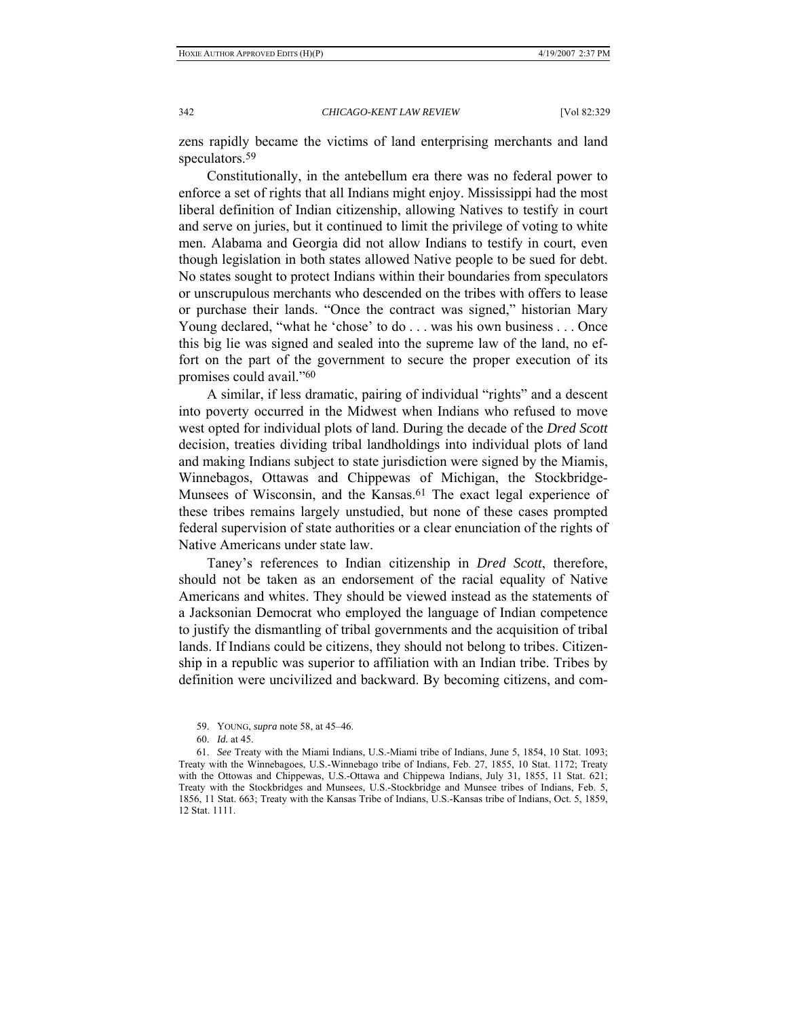zens rapidly became the victims of land enterprising merchants and land speculators.59

Constitutionally, in the antebellum era there was no federal power to enforce a set of rights that all Indians might enjoy. Mississippi had the most liberal definition of Indian citizenship, allowing Natives to testify in court and serve on juries, but it continued to limit the privilege of voting to white men. Alabama and Georgia did not allow Indians to testify in court, even though legislation in both states allowed Native people to be sued for debt. No states sought to protect Indians within their boundaries from speculators or unscrupulous merchants who descended on the tribes with offers to lease or purchase their lands. "Once the contract was signed," historian Mary Young declared, "what he 'chose' to do . . . was his own business . . . Once this big lie was signed and sealed into the supreme law of the land, no effort on the part of the government to secure the proper execution of its promises could avail."60

A similar, if less dramatic, pairing of individual "rights" and a descent into poverty occurred in the Midwest when Indians who refused to move west opted for individual plots of land. During the decade of the *Dred Scott*  decision, treaties dividing tribal landholdings into individual plots of land and making Indians subject to state jurisdiction were signed by the Miamis, Winnebagos, Ottawas and Chippewas of Michigan, the Stockbridge-Munsees of Wisconsin, and the Kansas.<sup>61</sup> The exact legal experience of these tribes remains largely unstudied, but none of these cases prompted federal supervision of state authorities or a clear enunciation of the rights of Native Americans under state law.

Taney's references to Indian citizenship in *Dred Scott*, therefore, should not be taken as an endorsement of the racial equality of Native Americans and whites. They should be viewed instead as the statements of a Jacksonian Democrat who employed the language of Indian competence to justify the dismantling of tribal governments and the acquisition of tribal lands. If Indians could be citizens, they should not belong to tribes. Citizenship in a republic was superior to affiliation with an Indian tribe. Tribes by definition were uncivilized and backward. By becoming citizens, and com-

 <sup>59.</sup> YOUNG, *supra* note 58, at 45–46.

 <sup>60.</sup> *Id.* at 45.

 <sup>61.</sup> *See* Treaty with the Miami Indians, U.S.-Miami tribe of Indians, June 5, 1854, 10 Stat. 1093; Treaty with the Winnebagoes, U.S.-Winnebago tribe of Indians, Feb. 27, 1855, 10 Stat. 1172; Treaty with the Ottowas and Chippewas, U.S.-Ottawa and Chippewa Indians, July 31, 1855, 11 Stat. 621; Treaty with the Stockbridges and Munsees, U.S.-Stockbridge and Munsee tribes of Indians, Feb. 5, 1856, 11 Stat. 663; Treaty with the Kansas Tribe of Indians, U.S.-Kansas tribe of Indians, Oct. 5, 1859, 12 Stat. 1111.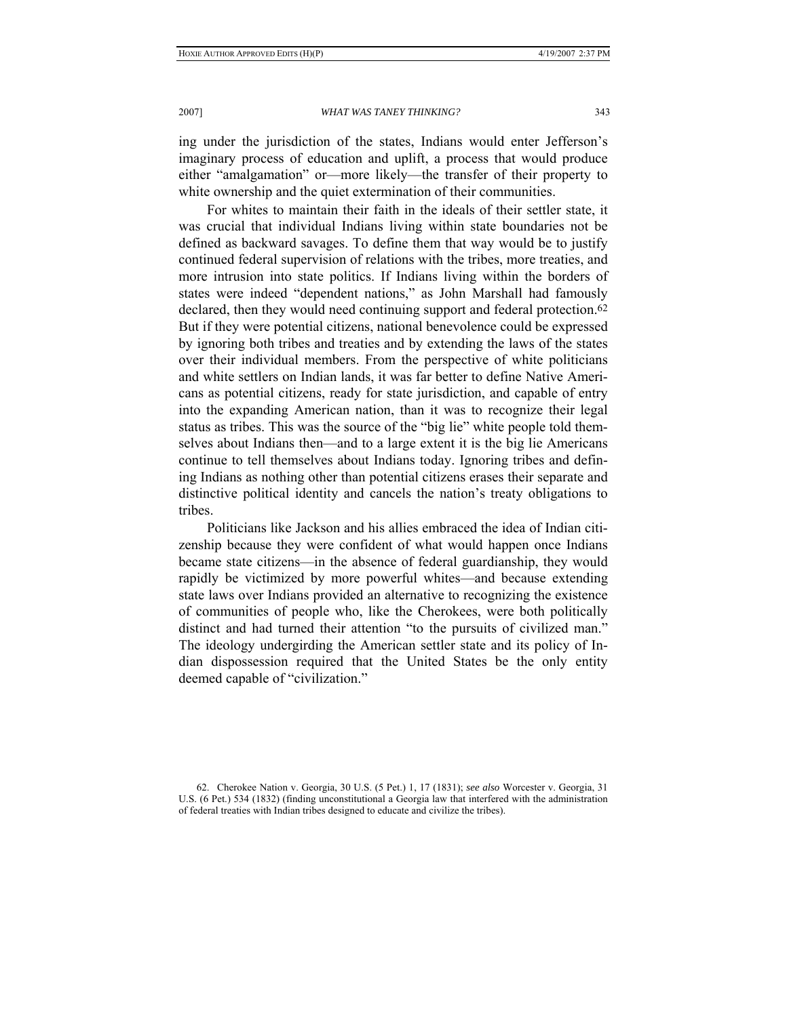ing under the jurisdiction of the states, Indians would enter Jefferson's imaginary process of education and uplift, a process that would produce either "amalgamation" or—more likely—the transfer of their property to white ownership and the quiet extermination of their communities.

For whites to maintain their faith in the ideals of their settler state, it was crucial that individual Indians living within state boundaries not be defined as backward savages. To define them that way would be to justify continued federal supervision of relations with the tribes, more treaties, and more intrusion into state politics. If Indians living within the borders of states were indeed "dependent nations," as John Marshall had famously declared, then they would need continuing support and federal protection.<sup>62</sup> But if they were potential citizens, national benevolence could be expressed by ignoring both tribes and treaties and by extending the laws of the states over their individual members. From the perspective of white politicians and white settlers on Indian lands, it was far better to define Native Americans as potential citizens, ready for state jurisdiction, and capable of entry into the expanding American nation, than it was to recognize their legal status as tribes. This was the source of the "big lie" white people told themselves about Indians then—and to a large extent it is the big lie Americans continue to tell themselves about Indians today. Ignoring tribes and defining Indians as nothing other than potential citizens erases their separate and distinctive political identity and cancels the nation's treaty obligations to tribes.

Politicians like Jackson and his allies embraced the idea of Indian citizenship because they were confident of what would happen once Indians became state citizens—in the absence of federal guardianship, they would rapidly be victimized by more powerful whites—and because extending state laws over Indians provided an alternative to recognizing the existence of communities of people who, like the Cherokees, were both politically distinct and had turned their attention "to the pursuits of civilized man." The ideology undergirding the American settler state and its policy of Indian dispossession required that the United States be the only entity deemed capable of "civilization."

 <sup>62.</sup> Cherokee Nation v. Georgia, 30 U.S. (5 Pet.) 1, 17 (1831); *see also* Worcester v. Georgia, 31 U.S. (6 Pet.) 534 (1832) (finding unconstitutional a Georgia law that interfered with the administration of federal treaties with Indian tribes designed to educate and civilize the tribes).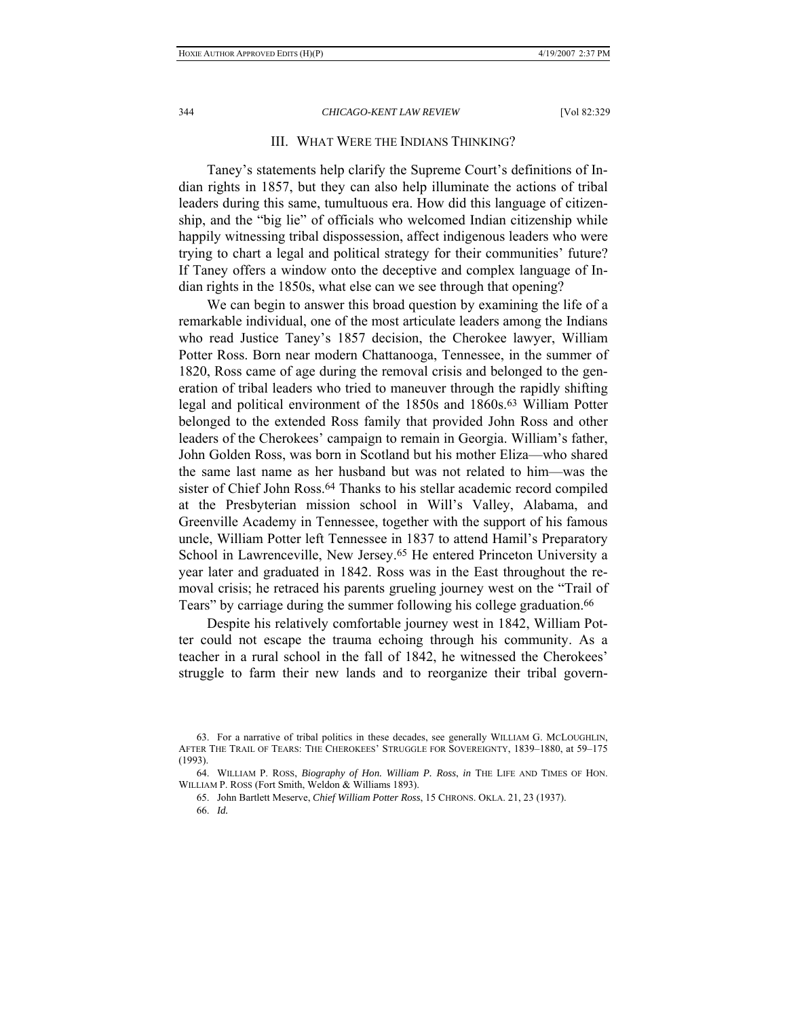# III. WHAT WERE THE INDIANS THINKING?

Taney's statements help clarify the Supreme Court's definitions of Indian rights in 1857, but they can also help illuminate the actions of tribal leaders during this same, tumultuous era. How did this language of citizenship, and the "big lie" of officials who welcomed Indian citizenship while happily witnessing tribal dispossession, affect indigenous leaders who were trying to chart a legal and political strategy for their communities' future? If Taney offers a window onto the deceptive and complex language of Indian rights in the 1850s, what else can we see through that opening?

We can begin to answer this broad question by examining the life of a remarkable individual, one of the most articulate leaders among the Indians who read Justice Taney's 1857 decision, the Cherokee lawyer, William Potter Ross. Born near modern Chattanooga, Tennessee, in the summer of 1820, Ross came of age during the removal crisis and belonged to the generation of tribal leaders who tried to maneuver through the rapidly shifting legal and political environment of the 1850s and 1860s.63 William Potter belonged to the extended Ross family that provided John Ross and other leaders of the Cherokees' campaign to remain in Georgia. William's father, John Golden Ross, was born in Scotland but his mother Eliza—who shared the same last name as her husband but was not related to him—was the sister of Chief John Ross.<sup>64</sup> Thanks to his stellar academic record compiled at the Presbyterian mission school in Will's Valley, Alabama, and Greenville Academy in Tennessee, together with the support of his famous uncle, William Potter left Tennessee in 1837 to attend Hamil's Preparatory School in Lawrenceville, New Jersey.<sup>65</sup> He entered Princeton University a year later and graduated in 1842. Ross was in the East throughout the removal crisis; he retraced his parents grueling journey west on the "Trail of Tears" by carriage during the summer following his college graduation.<sup>66</sup>

Despite his relatively comfortable journey west in 1842, William Potter could not escape the trauma echoing through his community. As a teacher in a rural school in the fall of 1842, he witnessed the Cherokees' struggle to farm their new lands and to reorganize their tribal govern-

 <sup>63.</sup> For a narrative of tribal politics in these decades, see generally WILLIAM G. MCLOUGHLIN, AFTER THE TRAIL OF TEARS: THE CHEROKEES' STRUGGLE FOR SOVEREIGNTY, 1839–1880, at 59–175 (1993).

 <sup>64.</sup> WILLIAM P. ROSS, *Biography of Hon. William P. Ross*, *in* THE LIFE AND TIMES OF HON. WILLIAM P. ROSS (Fort Smith, Weldon & Williams 1893).

 <sup>65.</sup> John Bartlett Meserve, *Chief William Potter Ross*, 15 CHRONS. OKLA. 21, 23 (1937). 66. *Id.*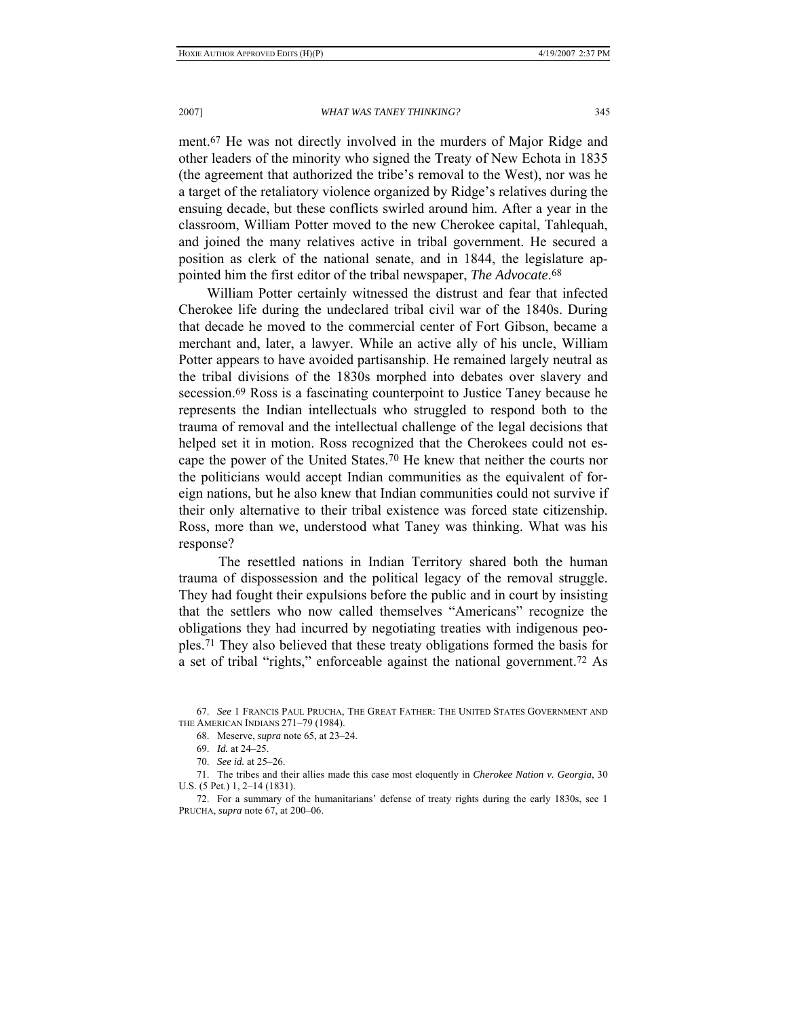ment.67 He was not directly involved in the murders of Major Ridge and other leaders of the minority who signed the Treaty of New Echota in 1835 (the agreement that authorized the tribe's removal to the West), nor was he a target of the retaliatory violence organized by Ridge's relatives during the ensuing decade, but these conflicts swirled around him. After a year in the classroom, William Potter moved to the new Cherokee capital, Tahlequah, and joined the many relatives active in tribal government. He secured a position as clerk of the national senate, and in 1844, the legislature appointed him the first editor of the tribal newspaper, *The Advocate*.68

William Potter certainly witnessed the distrust and fear that infected Cherokee life during the undeclared tribal civil war of the 1840s. During that decade he moved to the commercial center of Fort Gibson, became a merchant and, later, a lawyer. While an active ally of his uncle, William Potter appears to have avoided partisanship. He remained largely neutral as the tribal divisions of the 1830s morphed into debates over slavery and secession.69 Ross is a fascinating counterpoint to Justice Taney because he represents the Indian intellectuals who struggled to respond both to the trauma of removal and the intellectual challenge of the legal decisions that helped set it in motion. Ross recognized that the Cherokees could not escape the power of the United States.70 He knew that neither the courts nor the politicians would accept Indian communities as the equivalent of foreign nations, but he also knew that Indian communities could not survive if their only alternative to their tribal existence was forced state citizenship. Ross, more than we, understood what Taney was thinking. What was his response?

 The resettled nations in Indian Territory shared both the human trauma of dispossession and the political legacy of the removal struggle. They had fought their expulsions before the public and in court by insisting that the settlers who now called themselves "Americans" recognize the obligations they had incurred by negotiating treaties with indigenous peoples.71 They also believed that these treaty obligations formed the basis for a set of tribal "rights," enforceable against the national government.72 As

 71. The tribes and their allies made this case most eloquently in *Cherokee Nation v. Georgia*, 30 U.S. (5 Pet.) 1, 2–14 (1831).

 <sup>67.</sup> *See* 1 FRANCIS PAUL PRUCHA, THE GREAT FATHER: THE UNITED STATES GOVERNMENT AND THE AMERICAN INDIANS 271–79 (1984).

 <sup>68.</sup> Meserve, *supra* note 65, at 23–24.

 <sup>69.</sup> *Id.* at 24–25.

 <sup>70.</sup> *See id.* at 25–26.

 <sup>72.</sup> For a summary of the humanitarians' defense of treaty rights during the early 1830s, see 1 PRUCHA, *supra* note 67, at 200–06.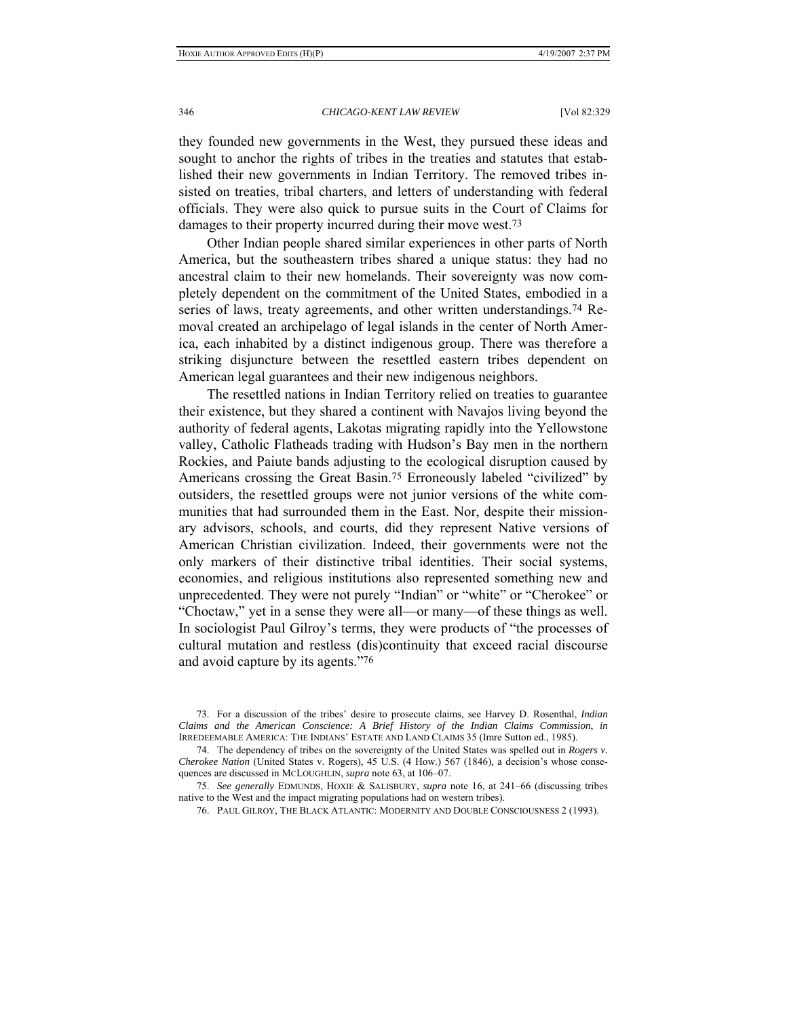they founded new governments in the West, they pursued these ideas and sought to anchor the rights of tribes in the treaties and statutes that established their new governments in Indian Territory. The removed tribes insisted on treaties, tribal charters, and letters of understanding with federal officials. They were also quick to pursue suits in the Court of Claims for damages to their property incurred during their move west.73

Other Indian people shared similar experiences in other parts of North America, but the southeastern tribes shared a unique status: they had no ancestral claim to their new homelands. Their sovereignty was now completely dependent on the commitment of the United States, embodied in a series of laws, treaty agreements, and other written understandings.<sup>74</sup> Removal created an archipelago of legal islands in the center of North America, each inhabited by a distinct indigenous group. There was therefore a striking disjuncture between the resettled eastern tribes dependent on American legal guarantees and their new indigenous neighbors.

The resettled nations in Indian Territory relied on treaties to guarantee their existence, but they shared a continent with Navajos living beyond the authority of federal agents, Lakotas migrating rapidly into the Yellowstone valley, Catholic Flatheads trading with Hudson's Bay men in the northern Rockies, and Paiute bands adjusting to the ecological disruption caused by Americans crossing the Great Basin.75 Erroneously labeled "civilized" by outsiders, the resettled groups were not junior versions of the white communities that had surrounded them in the East. Nor, despite their missionary advisors, schools, and courts, did they represent Native versions of American Christian civilization. Indeed, their governments were not the only markers of their distinctive tribal identities. Their social systems, economies, and religious institutions also represented something new and unprecedented. They were not purely "Indian" or "white" or "Cherokee" or "Choctaw," yet in a sense they were all—or many—of these things as well. In sociologist Paul Gilroy's terms, they were products of "the processes of cultural mutation and restless (dis)continuity that exceed racial discourse and avoid capture by its agents."76

 74. The dependency of tribes on the sovereignty of the United States was spelled out in *Rogers v. Cherokee Nation* (United States v. Rogers), 45 U.S. (4 How.) 567 (1846), a decision's whose consequences are discussed in MCLOUGHLIN, *supra* note 63, at 106–07.

 75. *See generally* EDMUNDS, HOXIE & SALISBURY, *supra* note 16, at 241–66 (discussing tribes native to the West and the impact migrating populations had on western tribes).

76. PAUL GILROY, THE BLACK ATLANTIC: MODERNITY AND DOUBLE CONSCIOUSNESS 2 (1993).

 <sup>73.</sup> For a discussion of the tribes' desire to prosecute claims, see Harvey D. Rosenthal, *Indian Claims and the American Conscience: A Brief History of the Indian Claims Commission*, *in* IRREDEEMABLE AMERICA: THE INDIANS' ESTATE AND LAND CLAIMS 35 (Imre Sutton ed., 1985).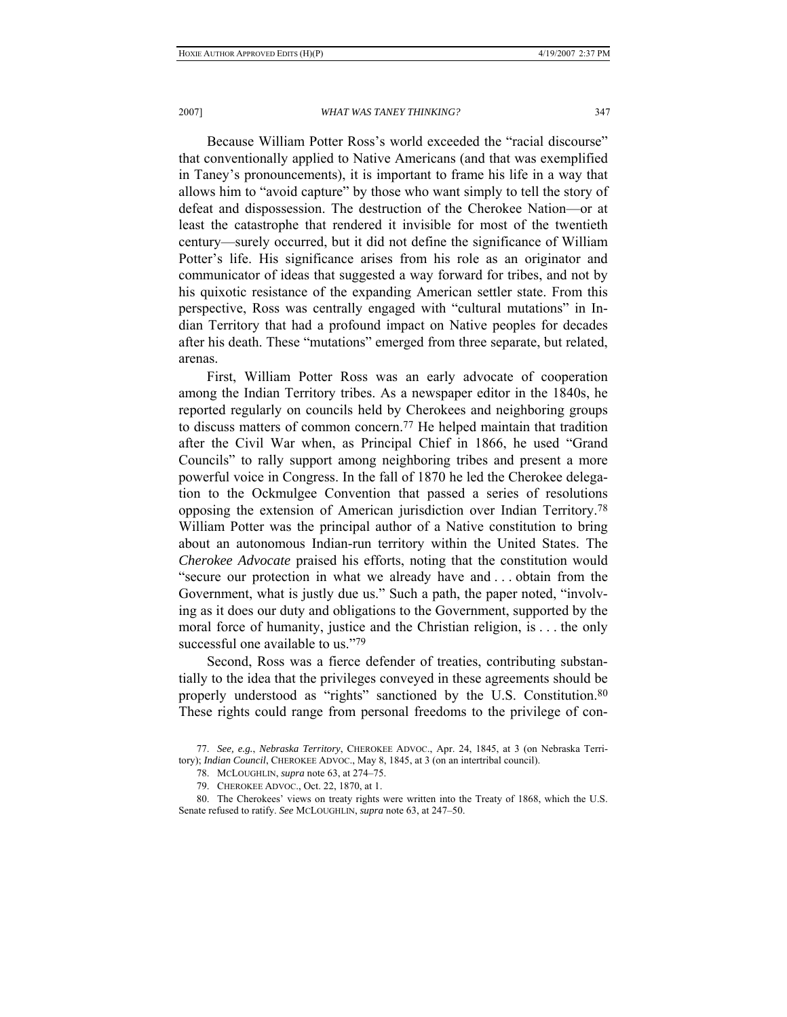Because William Potter Ross's world exceeded the "racial discourse" that conventionally applied to Native Americans (and that was exemplified in Taney's pronouncements), it is important to frame his life in a way that allows him to "avoid capture" by those who want simply to tell the story of defeat and dispossession. The destruction of the Cherokee Nation—or at least the catastrophe that rendered it invisible for most of the twentieth century—surely occurred, but it did not define the significance of William Potter's life. His significance arises from his role as an originator and communicator of ideas that suggested a way forward for tribes, and not by his quixotic resistance of the expanding American settler state. From this perspective, Ross was centrally engaged with "cultural mutations" in Indian Territory that had a profound impact on Native peoples for decades after his death. These "mutations" emerged from three separate, but related, arenas.

First, William Potter Ross was an early advocate of cooperation among the Indian Territory tribes. As a newspaper editor in the 1840s, he reported regularly on councils held by Cherokees and neighboring groups to discuss matters of common concern.77 He helped maintain that tradition after the Civil War when, as Principal Chief in 1866, he used "Grand Councils" to rally support among neighboring tribes and present a more powerful voice in Congress. In the fall of 1870 he led the Cherokee delegation to the Ockmulgee Convention that passed a series of resolutions opposing the extension of American jurisdiction over Indian Territory.78 William Potter was the principal author of a Native constitution to bring about an autonomous Indian-run territory within the United States. The *Cherokee Advocate* praised his efforts, noting that the constitution would "secure our protection in what we already have and . . . obtain from the Government, what is justly due us." Such a path, the paper noted, "involving as it does our duty and obligations to the Government, supported by the moral force of humanity, justice and the Christian religion, is . . . the only successful one available to us."79

Second, Ross was a fierce defender of treaties, contributing substantially to the idea that the privileges conveyed in these agreements should be properly understood as "rights" sanctioned by the U.S. Constitution.<sup>80</sup> These rights could range from personal freedoms to the privilege of con-

 <sup>77.</sup> *See, e.g.*, *Nebraska Territory*, CHEROKEE ADVOC., Apr. 24, 1845, at 3 (on Nebraska Territory); *Indian Council*, CHEROKEE ADVOC., May 8, 1845, at 3 (on an intertribal council).

 <sup>78.</sup> MCLOUGHLIN, *supra* note 63, at 274–75.

 <sup>79.</sup> CHEROKEE ADVOC., Oct. 22, 1870, at 1.

 <sup>80.</sup> The Cherokees' views on treaty rights were written into the Treaty of 1868, which the U.S. Senate refused to ratify. *See* MCLOUGHLIN, *supra* note 63, at 247–50.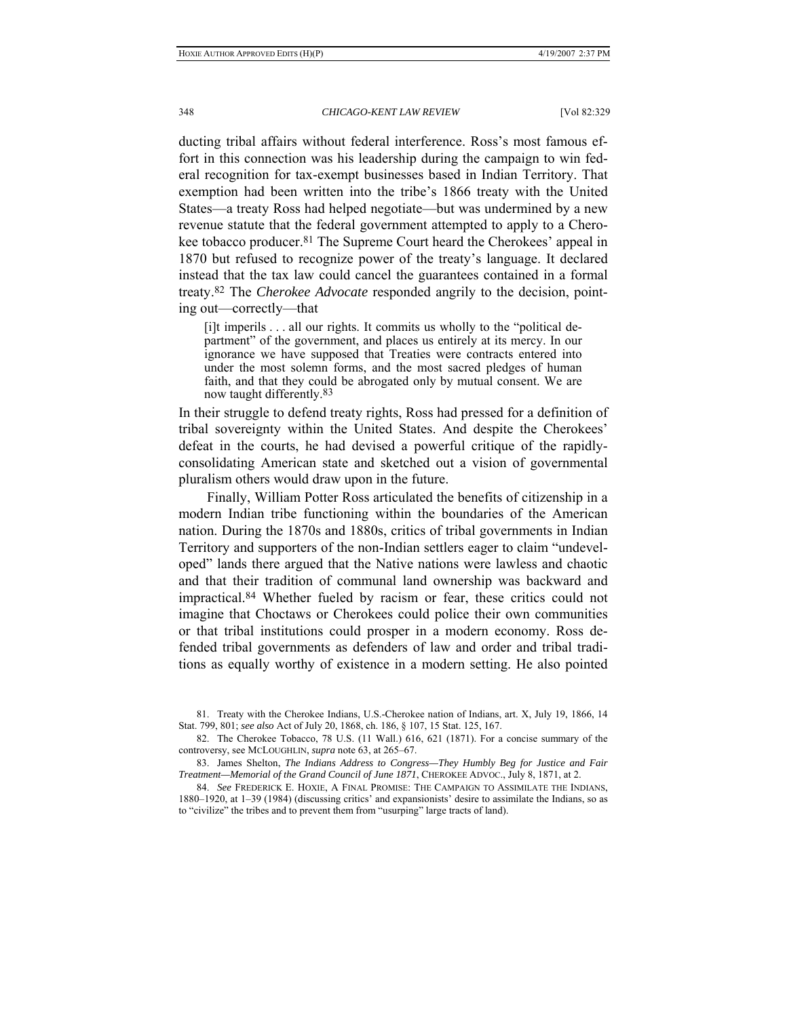ducting tribal affairs without federal interference. Ross's most famous effort in this connection was his leadership during the campaign to win federal recognition for tax-exempt businesses based in Indian Territory. That exemption had been written into the tribe's 1866 treaty with the United States—a treaty Ross had helped negotiate—but was undermined by a new revenue statute that the federal government attempted to apply to a Cherokee tobacco producer.81 The Supreme Court heard the Cherokees' appeal in 1870 but refused to recognize power of the treaty's language. It declared instead that the tax law could cancel the guarantees contained in a formal treaty.82 The *Cherokee Advocate* responded angrily to the decision, pointing out—correctly—that

[i]t imperils . . . all our rights. It commits us wholly to the "political department" of the government, and places us entirely at its mercy. In our ignorance we have supposed that Treaties were contracts entered into under the most solemn forms, and the most sacred pledges of human faith, and that they could be abrogated only by mutual consent. We are now taught differently.83

In their struggle to defend treaty rights, Ross had pressed for a definition of tribal sovereignty within the United States. And despite the Cherokees' defeat in the courts, he had devised a powerful critique of the rapidlyconsolidating American state and sketched out a vision of governmental pluralism others would draw upon in the future.

Finally, William Potter Ross articulated the benefits of citizenship in a modern Indian tribe functioning within the boundaries of the American nation. During the 1870s and 1880s, critics of tribal governments in Indian Territory and supporters of the non-Indian settlers eager to claim "undeveloped" lands there argued that the Native nations were lawless and chaotic and that their tradition of communal land ownership was backward and impractical.84 Whether fueled by racism or fear, these critics could not imagine that Choctaws or Cherokees could police their own communities or that tribal institutions could prosper in a modern economy. Ross defended tribal governments as defenders of law and order and tribal traditions as equally worthy of existence in a modern setting. He also pointed

 81. Treaty with the Cherokee Indians, U.S.-Cherokee nation of Indians, art. X, July 19, 1866, 14 Stat. 799, 801; *see also* Act of July 20, 1868, ch. 186, § 107, 15 Stat. 125, 167.

 82. The Cherokee Tobacco, 78 U.S. (11 Wall.) 616, 621 (1871). For a concise summary of the controversy, see MCLOUGHLIN, *supra* note 63, at 265–67.

 83. James Shelton, *The Indians Address to Congress—They Humbly Beg for Justice and Fair Treatment—Memorial of the Grand Council of June 1871*, CHEROKEE ADVOC., July 8, 1871, at 2.

 84. *See* FREDERICK E. HOXIE, A FINAL PROMISE: THE CAMPAIGN TO ASSIMILATE THE INDIANS, 1880–1920, at 1–39 (1984) (discussing critics' and expansionists' desire to assimilate the Indians, so as to "civilize" the tribes and to prevent them from "usurping" large tracts of land).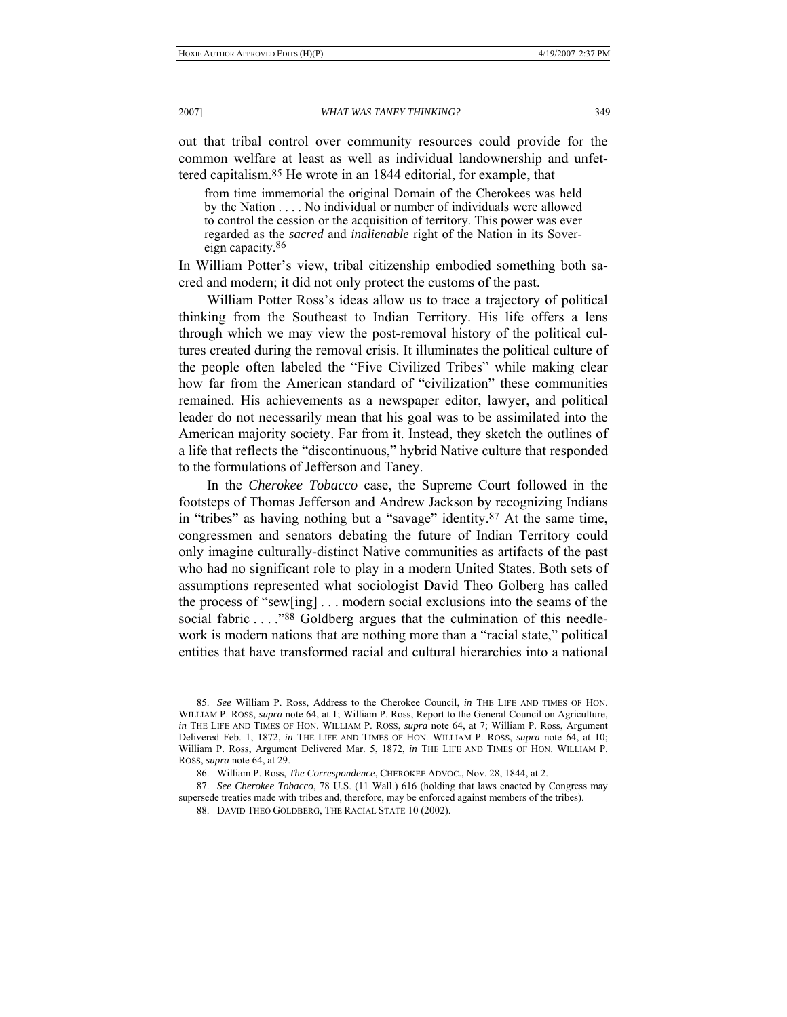out that tribal control over community resources could provide for the common welfare at least as well as individual landownership and unfettered capitalism.85 He wrote in an 1844 editorial, for example, that

from time immemorial the original Domain of the Cherokees was held by the Nation . . . . No individual or number of individuals were allowed to control the cession or the acquisition of territory. This power was ever regarded as the *sacred* and *inalienable* right of the Nation in its Sovereign capacity.86

In William Potter's view, tribal citizenship embodied something both sacred and modern; it did not only protect the customs of the past.

William Potter Ross's ideas allow us to trace a trajectory of political thinking from the Southeast to Indian Territory. His life offers a lens through which we may view the post-removal history of the political cultures created during the removal crisis. It illuminates the political culture of the people often labeled the "Five Civilized Tribes" while making clear how far from the American standard of "civilization" these communities remained. His achievements as a newspaper editor, lawyer, and political leader do not necessarily mean that his goal was to be assimilated into the American majority society. Far from it. Instead, they sketch the outlines of a life that reflects the "discontinuous," hybrid Native culture that responded to the formulations of Jefferson and Taney.

In the *Cherokee Tobacco* case, the Supreme Court followed in the footsteps of Thomas Jefferson and Andrew Jackson by recognizing Indians in "tribes" as having nothing but a "savage" identity.87 At the same time, congressmen and senators debating the future of Indian Territory could only imagine culturally-distinct Native communities as artifacts of the past who had no significant role to play in a modern United States. Both sets of assumptions represented what sociologist David Theo Golberg has called the process of "sew[ing] . . . modern social exclusions into the seams of the social fabric . . . . "88 Goldberg argues that the culmination of this needlework is modern nations that are nothing more than a "racial state," political entities that have transformed racial and cultural hierarchies into a national

<sup>85.</sup> *See* William P. Ross, Address to the Cherokee Council, *in* THE LIFE AND TIMES OF HON. WILLIAM P. ROSS, *supra* note 64, at 1; William P. Ross, Report to the General Council on Agriculture, *in* THE LIFE AND TIMES OF HON. WILLIAM P. ROSS, *supra* note 64, at 7; William P. Ross, Argument Delivered Feb. 1, 1872, *in* THE LIFE AND TIMES OF HON. WILLIAM P. ROSS, *supra* note 64, at 10; William P. Ross, Argument Delivered Mar. 5, 1872, *in* THE LIFE AND TIMES OF HON. WILLIAM P. ROSS, *supra* note 64, at 29.

 <sup>86.</sup> William P. Ross, *The Correspondence*, CHEROKEE ADVOC., Nov. 28, 1844, at 2.

<sup>87.</sup> *See Cherokee Tobacco*, 78 U.S. (11 Wall.) 616 (holding that laws enacted by Congress may supersede treaties made with tribes and, therefore, may be enforced against members of the tribes).

 <sup>88.</sup> DAVID THEO GOLDBERG, THE RACIAL STATE 10 (2002).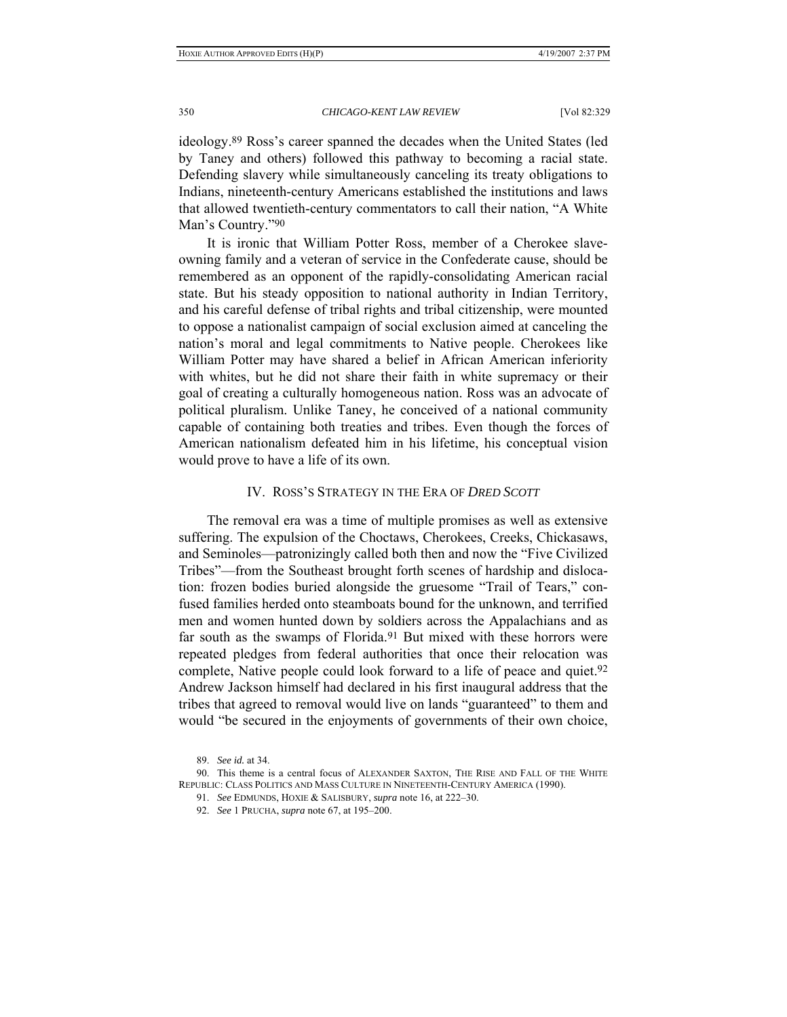ideology.89 Ross's career spanned the decades when the United States (led by Taney and others) followed this pathway to becoming a racial state. Defending slavery while simultaneously canceling its treaty obligations to Indians, nineteenth-century Americans established the institutions and laws that allowed twentieth-century commentators to call their nation, "A White Man's Country."90

It is ironic that William Potter Ross, member of a Cherokee slaveowning family and a veteran of service in the Confederate cause, should be remembered as an opponent of the rapidly-consolidating American racial state. But his steady opposition to national authority in Indian Territory, and his careful defense of tribal rights and tribal citizenship, were mounted to oppose a nationalist campaign of social exclusion aimed at canceling the nation's moral and legal commitments to Native people. Cherokees like William Potter may have shared a belief in African American inferiority with whites, but he did not share their faith in white supremacy or their goal of creating a culturally homogeneous nation. Ross was an advocate of political pluralism. Unlike Taney, he conceived of a national community capable of containing both treaties and tribes. Even though the forces of American nationalism defeated him in his lifetime, his conceptual vision would prove to have a life of its own.

# IV. ROSS'S STRATEGY IN THE ERA OF *DRED SCOTT*

The removal era was a time of multiple promises as well as extensive suffering. The expulsion of the Choctaws, Cherokees, Creeks, Chickasaws, and Seminoles—patronizingly called both then and now the "Five Civilized Tribes"—from the Southeast brought forth scenes of hardship and dislocation: frozen bodies buried alongside the gruesome "Trail of Tears," confused families herded onto steamboats bound for the unknown, and terrified men and women hunted down by soldiers across the Appalachians and as far south as the swamps of Florida.<sup>91</sup> But mixed with these horrors were repeated pledges from federal authorities that once their relocation was complete, Native people could look forward to a life of peace and quiet.92 Andrew Jackson himself had declared in his first inaugural address that the tribes that agreed to removal would live on lands "guaranteed" to them and would "be secured in the enjoyments of governments of their own choice,

 <sup>89.</sup> *See id.* at 34.

 <sup>90.</sup> This theme is a central focus of ALEXANDER SAXTON, THE RISE AND FALL OF THE WHITE REPUBLIC: CLASS POLITICS AND MASS CULTURE IN NINETEENTH-CENTURY AMERICA (1990).

 <sup>91.</sup> *See* EDMUNDS, HOXIE & SALISBURY, *supra* note 16, at 222–30.

 <sup>92.</sup> *See* 1 PRUCHA, *supra* note 67, at 195–200.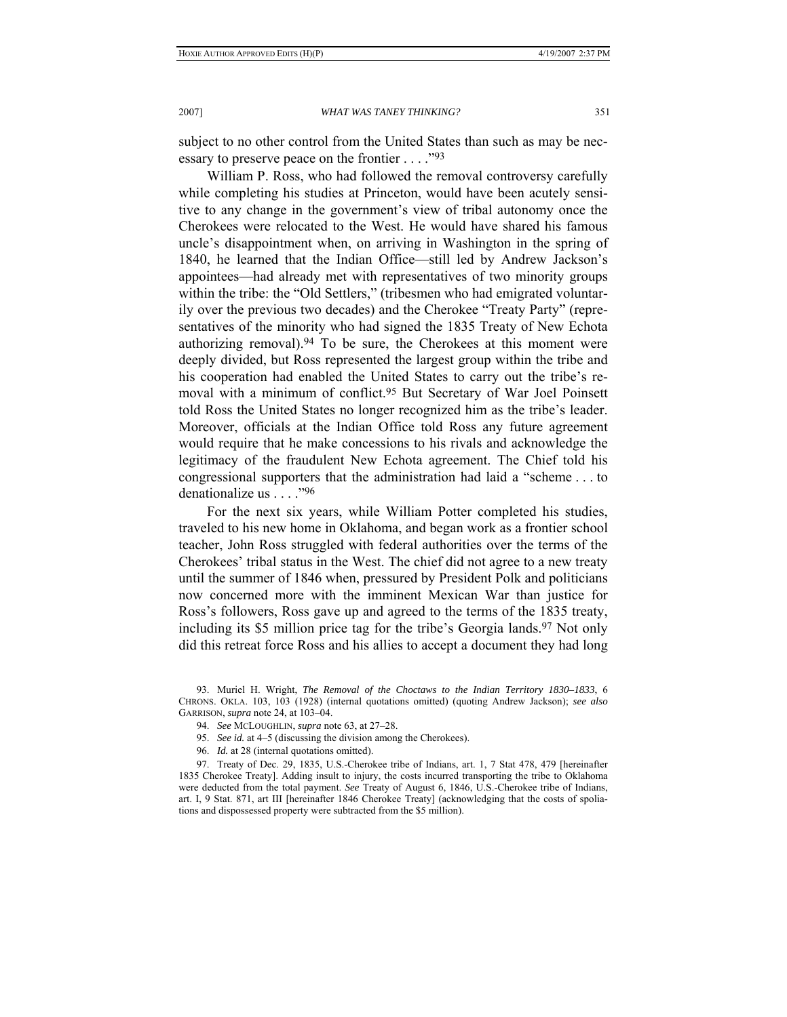subject to no other control from the United States than such as may be necessary to preserve peace on the frontier . . . ."93

William P. Ross, who had followed the removal controversy carefully while completing his studies at Princeton, would have been acutely sensitive to any change in the government's view of tribal autonomy once the Cherokees were relocated to the West. He would have shared his famous uncle's disappointment when, on arriving in Washington in the spring of 1840, he learned that the Indian Office—still led by Andrew Jackson's appointees—had already met with representatives of two minority groups within the tribe: the "Old Settlers," (tribesmen who had emigrated voluntarily over the previous two decades) and the Cherokee "Treaty Party" (representatives of the minority who had signed the 1835 Treaty of New Echota authorizing removal).94 To be sure, the Cherokees at this moment were deeply divided, but Ross represented the largest group within the tribe and his cooperation had enabled the United States to carry out the tribe's removal with a minimum of conflict.95 But Secretary of War Joel Poinsett told Ross the United States no longer recognized him as the tribe's leader. Moreover, officials at the Indian Office told Ross any future agreement would require that he make concessions to his rivals and acknowledge the legitimacy of the fraudulent New Echota agreement. The Chief told his congressional supporters that the administration had laid a "scheme . . . to denationalize us . . . ."96

For the next six years, while William Potter completed his studies, traveled to his new home in Oklahoma, and began work as a frontier school teacher, John Ross struggled with federal authorities over the terms of the Cherokees' tribal status in the West. The chief did not agree to a new treaty until the summer of 1846 when, pressured by President Polk and politicians now concerned more with the imminent Mexican War than justice for Ross's followers, Ross gave up and agreed to the terms of the 1835 treaty, including its \$5 million price tag for the tribe's Georgia lands.<sup>97</sup> Not only did this retreat force Ross and his allies to accept a document they had long

- 95. *See id.* at 4–5 (discussing the division among the Cherokees).
- 96. *Id.* at 28 (internal quotations omitted).

 97. Treaty of Dec. 29, 1835, U.S.-Cherokee tribe of Indians, art. 1, 7 Stat 478, 479 [hereinafter 1835 Cherokee Treaty]. Adding insult to injury, the costs incurred transporting the tribe to Oklahoma were deducted from the total payment. *See* Treaty of August 6, 1846, U.S.-Cherokee tribe of Indians, art. I, 9 Stat. 871, art III [hereinafter 1846 Cherokee Treaty] (acknowledging that the costs of spoliations and dispossessed property were subtracted from the \$5 million).

 <sup>93.</sup> Muriel H. Wright, *The Removal of the Choctaws to the Indian Territory 1830–1833*, 6 CHRONS. OKLA. 103, 103 (1928) (internal quotations omitted) (quoting Andrew Jackson); *see also*  GARRISON, *supra* note 24, at 103–04.

 <sup>94.</sup> *See* MCLOUGHLIN, *supra* note 63, at 27–28.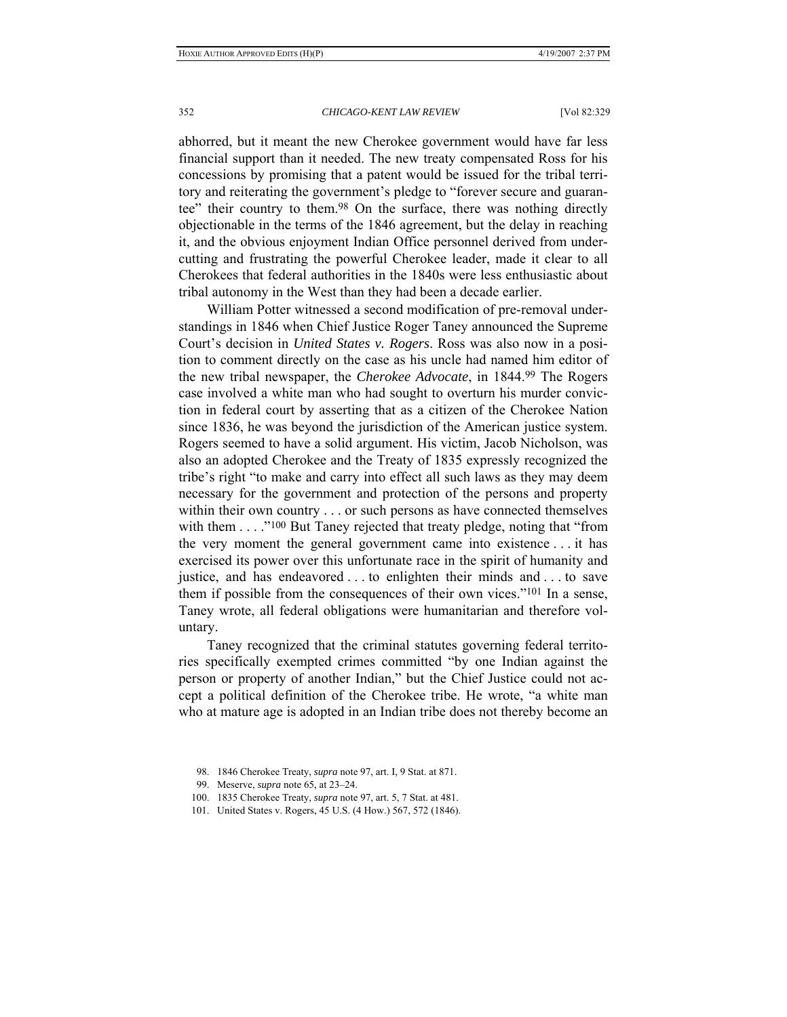abhorred, but it meant the new Cherokee government would have far less financial support than it needed. The new treaty compensated Ross for his concessions by promising that a patent would be issued for the tribal territory and reiterating the government's pledge to "forever secure and guarantee" their country to them.98 On the surface, there was nothing directly objectionable in the terms of the 1846 agreement, but the delay in reaching it, and the obvious enjoyment Indian Office personnel derived from undercutting and frustrating the powerful Cherokee leader, made it clear to all Cherokees that federal authorities in the 1840s were less enthusiastic about tribal autonomy in the West than they had been a decade earlier.

William Potter witnessed a second modification of pre-removal understandings in 1846 when Chief Justice Roger Taney announced the Supreme Court's decision in *United States v. Rogers*. Ross was also now in a position to comment directly on the case as his uncle had named him editor of the new tribal newspaper, the *Cherokee Advocate*, in 1844.99 The Rogers case involved a white man who had sought to overturn his murder conviction in federal court by asserting that as a citizen of the Cherokee Nation since 1836, he was beyond the jurisdiction of the American justice system. Rogers seemed to have a solid argument. His victim, Jacob Nicholson, was also an adopted Cherokee and the Treaty of 1835 expressly recognized the tribe's right "to make and carry into effect all such laws as they may deem necessary for the government and protection of the persons and property within their own country . . . or such persons as have connected themselves with them . . . . "<sup>100</sup> But Taney rejected that treaty pledge, noting that "from the very moment the general government came into existence . . . it has exercised its power over this unfortunate race in the spirit of humanity and justice, and has endeavored . . . to enlighten their minds and . . . to save them if possible from the consequences of their own vices."101 In a sense, Taney wrote, all federal obligations were humanitarian and therefore voluntary.

Taney recognized that the criminal statutes governing federal territories specifically exempted crimes committed "by one Indian against the person or property of another Indian," but the Chief Justice could not accept a political definition of the Cherokee tribe. He wrote, "a white man who at mature age is adopted in an Indian tribe does not thereby become an

- 100. 1835 Cherokee Treaty, *supra* note 97, art. 5, 7 Stat. at 481.
- 101. United States v. Rogers, 45 U.S. (4 How.) 567, 572 (1846).

 <sup>98. 1846</sup> Cherokee Treaty, *supra* note 97, art. I, 9 Stat. at 871.

 <sup>99.</sup> Meserve, *supra* note 65, at 23–24.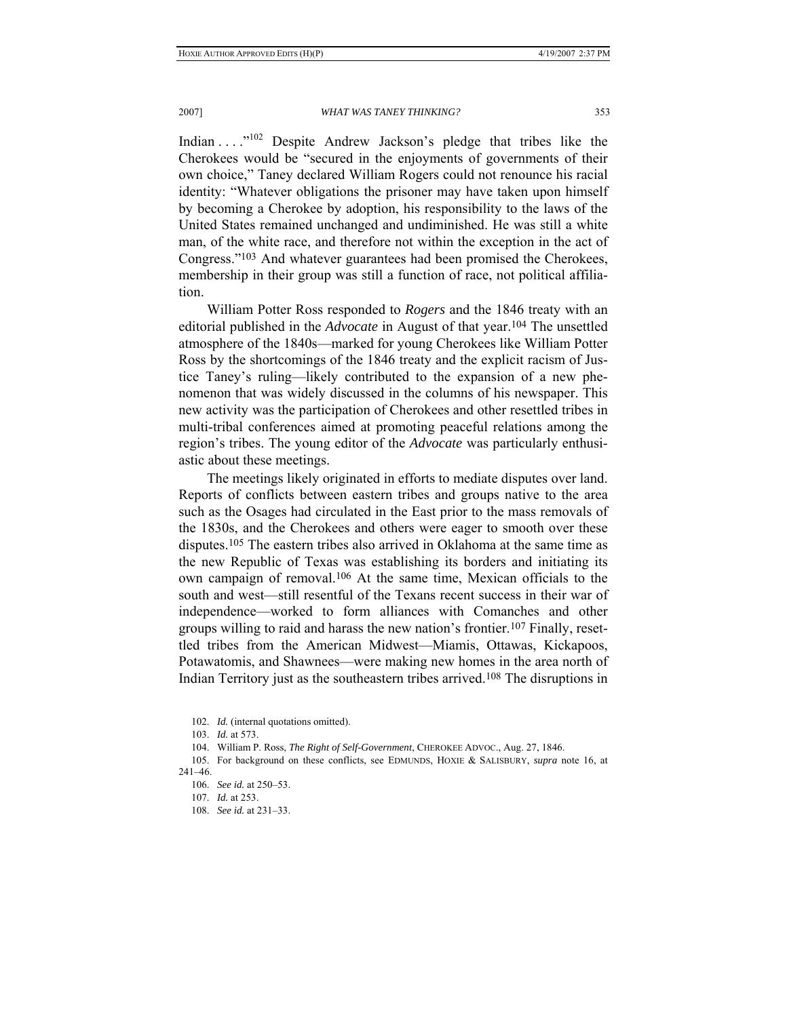Indian . . . ."102 Despite Andrew Jackson's pledge that tribes like the Cherokees would be "secured in the enjoyments of governments of their own choice," Taney declared William Rogers could not renounce his racial identity: "Whatever obligations the prisoner may have taken upon himself by becoming a Cherokee by adoption, his responsibility to the laws of the United States remained unchanged and undiminished. He was still a white man, of the white race, and therefore not within the exception in the act of Congress."103 And whatever guarantees had been promised the Cherokees, membership in their group was still a function of race, not political affiliation.

William Potter Ross responded to *Rogers* and the 1846 treaty with an editorial published in the *Advocate* in August of that year.104 The unsettled atmosphere of the 1840s—marked for young Cherokees like William Potter Ross by the shortcomings of the 1846 treaty and the explicit racism of Justice Taney's ruling—likely contributed to the expansion of a new phenomenon that was widely discussed in the columns of his newspaper. This new activity was the participation of Cherokees and other resettled tribes in multi-tribal conferences aimed at promoting peaceful relations among the region's tribes. The young editor of the *Advocate* was particularly enthusiastic about these meetings.

The meetings likely originated in efforts to mediate disputes over land. Reports of conflicts between eastern tribes and groups native to the area such as the Osages had circulated in the East prior to the mass removals of the 1830s, and the Cherokees and others were eager to smooth over these disputes.105 The eastern tribes also arrived in Oklahoma at the same time as the new Republic of Texas was establishing its borders and initiating its own campaign of removal.106 At the same time, Mexican officials to the south and west—still resentful of the Texans recent success in their war of independence—worked to form alliances with Comanches and other groups willing to raid and harass the new nation's frontier.107 Finally, resettled tribes from the American Midwest—Miamis, Ottawas, Kickapoos, Potawatomis, and Shawnees—were making new homes in the area north of Indian Territory just as the southeastern tribes arrived.108 The disruptions in

 <sup>102.</sup> *Id.* (internal quotations omitted).

<sup>103.</sup> *Id.* at 573.

 <sup>104.</sup> William P. Ross, *The Right of Self-Government*, CHEROKEE ADVOC., Aug. 27, 1846.

 <sup>105.</sup> For background on these conflicts, see EDMUNDS, HOXIE & SALISBURY, *supra* note 16, at 241–46.

 <sup>106.</sup> *See id.* at 250–53.

 <sup>107.</sup> *Id.* at 253.

 <sup>108.</sup> *See id.* at 231–33.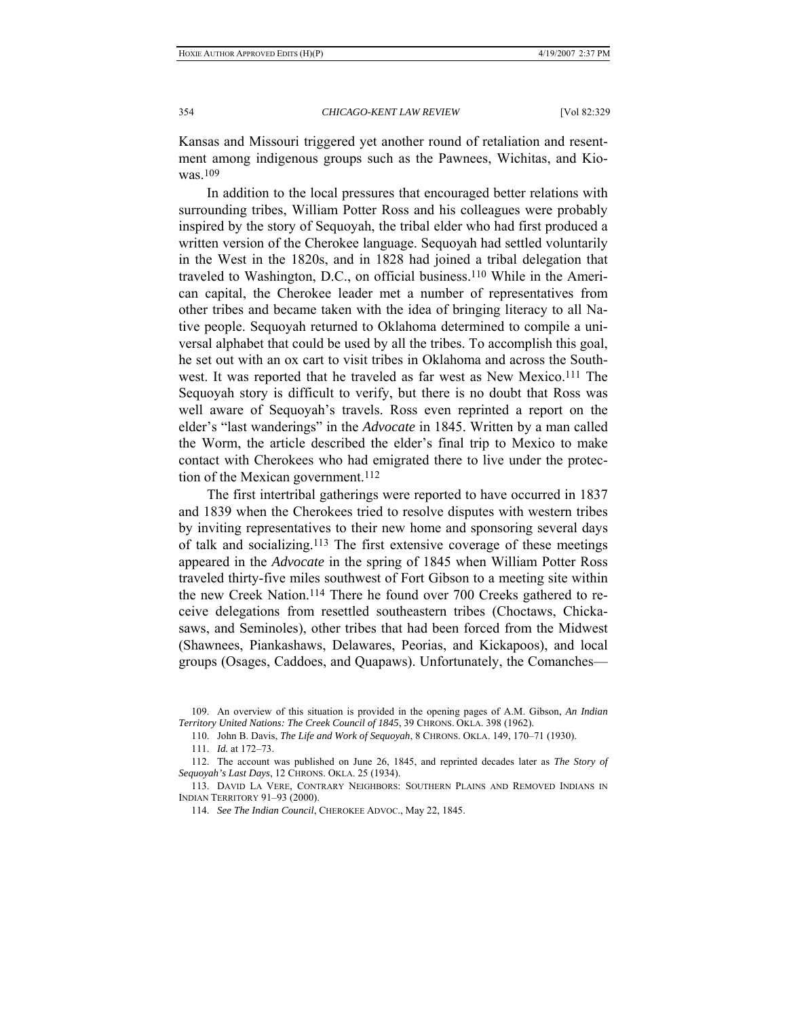Kansas and Missouri triggered yet another round of retaliation and resentment among indigenous groups such as the Pawnees, Wichitas, and Kiowas.109

In addition to the local pressures that encouraged better relations with surrounding tribes, William Potter Ross and his colleagues were probably inspired by the story of Sequoyah, the tribal elder who had first produced a written version of the Cherokee language. Sequoyah had settled voluntarily in the West in the 1820s, and in 1828 had joined a tribal delegation that traveled to Washington, D.C., on official business.110 While in the American capital, the Cherokee leader met a number of representatives from other tribes and became taken with the idea of bringing literacy to all Native people. Sequoyah returned to Oklahoma determined to compile a universal alphabet that could be used by all the tribes. To accomplish this goal, he set out with an ox cart to visit tribes in Oklahoma and across the Southwest. It was reported that he traveled as far west as New Mexico.111 The Sequoyah story is difficult to verify, but there is no doubt that Ross was well aware of Sequoyah's travels. Ross even reprinted a report on the elder's "last wanderings" in the *Advocate* in 1845. Written by a man called the Worm, the article described the elder's final trip to Mexico to make contact with Cherokees who had emigrated there to live under the protection of the Mexican government.<sup>112</sup>

The first intertribal gatherings were reported to have occurred in 1837 and 1839 when the Cherokees tried to resolve disputes with western tribes by inviting representatives to their new home and sponsoring several days of talk and socializing.113 The first extensive coverage of these meetings appeared in the *Advocate* in the spring of 1845 when William Potter Ross traveled thirty-five miles southwest of Fort Gibson to a meeting site within the new Creek Nation.114 There he found over 700 Creeks gathered to receive delegations from resettled southeastern tribes (Choctaws, Chickasaws, and Seminoles), other tribes that had been forced from the Midwest (Shawnees, Piankashaws, Delawares, Peorias, and Kickapoos), and local groups (Osages, Caddoes, and Quapaws). Unfortunately, the Comanches—

 <sup>109.</sup> An overview of this situation is provided in the opening pages of A.M. Gibson, *An Indian Territory United Nations: The Creek Council of 1845*, 39 CHRONS. OKLA. 398 (1962).

 <sup>110.</sup> John B. Davis, *The Life and Work of Sequoyah*, 8 CHRONS. OKLA. 149, 170–71 (1930).

 <sup>111.</sup> *Id.* at 172–73.

 <sup>112.</sup> The account was published on June 26, 1845, and reprinted decades later as *The Story of Sequoyah's Last Days*, 12 CHRONS. OKLA. 25 (1934).

 <sup>113.</sup> DAVID LA VERE, CONTRARY NEIGHBORS: SOUTHERN PLAINS AND REMOVED INDIANS IN INDIAN TERRITORY 91–93 (2000).

 <sup>114.</sup> *See The Indian Council*, CHEROKEE ADVOC., May 22, 1845.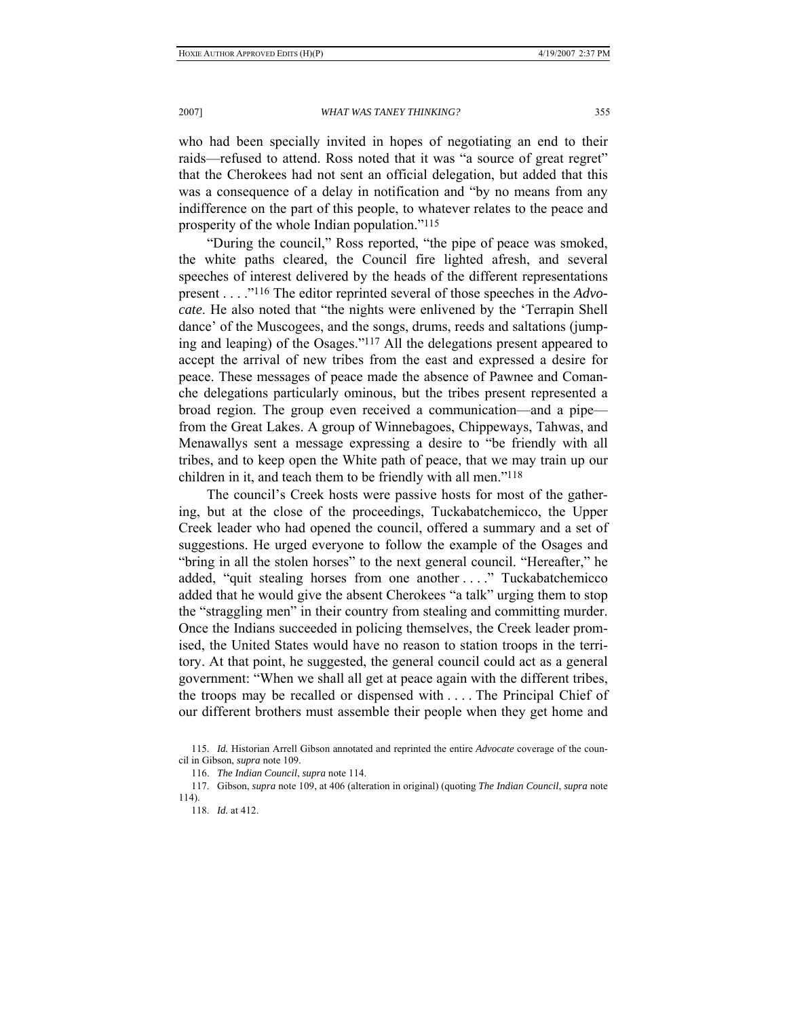who had been specially invited in hopes of negotiating an end to their raids—refused to attend. Ross noted that it was "a source of great regret" that the Cherokees had not sent an official delegation, but added that this was a consequence of a delay in notification and "by no means from any indifference on the part of this people, to whatever relates to the peace and prosperity of the whole Indian population."115

"During the council," Ross reported, "the pipe of peace was smoked, the white paths cleared, the Council fire lighted afresh, and several speeches of interest delivered by the heads of the different representations present . . . ."116 The editor reprinted several of those speeches in the *Advocate*. He also noted that "the nights were enlivened by the 'Terrapin Shell dance' of the Muscogees, and the songs, drums, reeds and saltations (jumping and leaping) of the Osages."117 All the delegations present appeared to accept the arrival of new tribes from the east and expressed a desire for peace. These messages of peace made the absence of Pawnee and Comanche delegations particularly ominous, but the tribes present represented a broad region. The group even received a communication—and a pipe from the Great Lakes. A group of Winnebagoes, Chippeways, Tahwas, and Menawallys sent a message expressing a desire to "be friendly with all tribes, and to keep open the White path of peace, that we may train up our children in it, and teach them to be friendly with all men."118

The council's Creek hosts were passive hosts for most of the gathering, but at the close of the proceedings, Tuckabatchemicco, the Upper Creek leader who had opened the council, offered a summary and a set of suggestions. He urged everyone to follow the example of the Osages and "bring in all the stolen horses" to the next general council. "Hereafter," he added, "quit stealing horses from one another . . . ." Tuckabatchemicco added that he would give the absent Cherokees "a talk" urging them to stop the "straggling men" in their country from stealing and committing murder. Once the Indians succeeded in policing themselves, the Creek leader promised, the United States would have no reason to station troops in the territory. At that point, he suggested, the general council could act as a general government: "When we shall all get at peace again with the different tribes, the troops may be recalled or dispensed with . . . . The Principal Chief of our different brothers must assemble their people when they get home and

 117. Gibson, *supra* note 109, at 406 (alteration in original) (quoting *The Indian Council*, *supra* note 114).

 <sup>115.</sup> *Id.* Historian Arrell Gibson annotated and reprinted the entire *Advocate* coverage of the council in Gibson, *supra* note 109.

 <sup>116.</sup> *The Indian Council*, *supra* note 114.

 <sup>118.</sup> *Id.* at 412.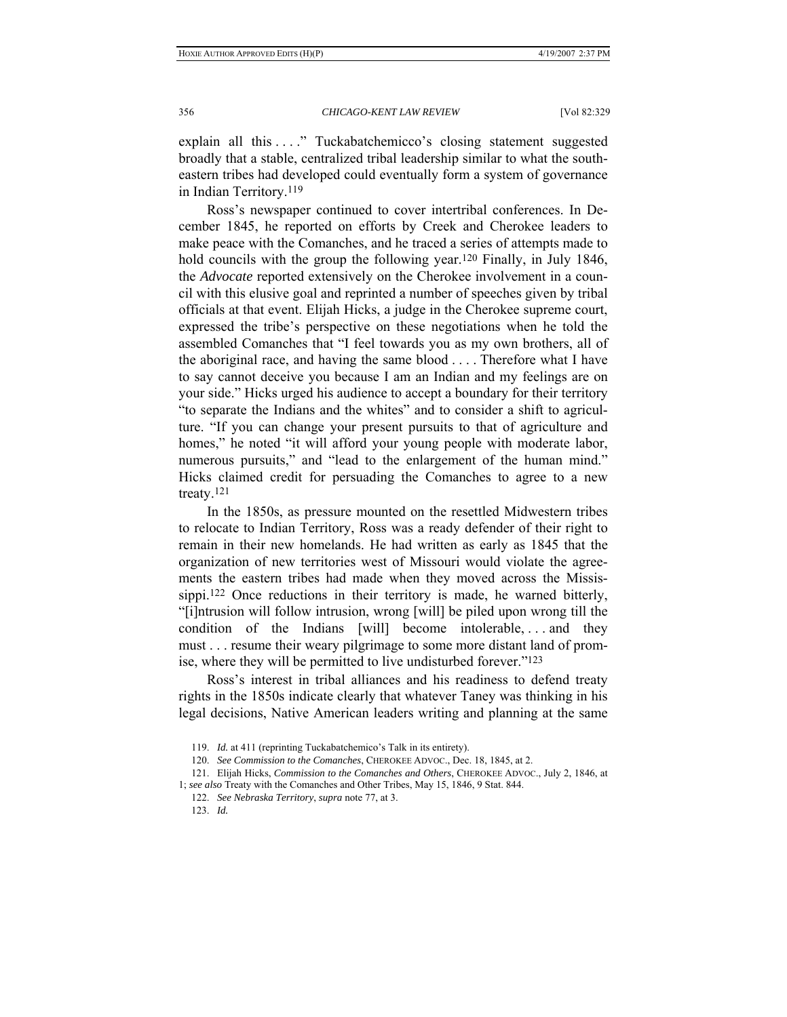explain all this ...." Tuckabatchemicco's closing statement suggested broadly that a stable, centralized tribal leadership similar to what the southeastern tribes had developed could eventually form a system of governance in Indian Territory.119

Ross's newspaper continued to cover intertribal conferences. In December 1845, he reported on efforts by Creek and Cherokee leaders to make peace with the Comanches, and he traced a series of attempts made to hold councils with the group the following year.<sup>120</sup> Finally, in July 1846, the *Advocate* reported extensively on the Cherokee involvement in a council with this elusive goal and reprinted a number of speeches given by tribal officials at that event. Elijah Hicks, a judge in the Cherokee supreme court, expressed the tribe's perspective on these negotiations when he told the assembled Comanches that "I feel towards you as my own brothers, all of the aboriginal race, and having the same blood . . . . Therefore what I have to say cannot deceive you because I am an Indian and my feelings are on your side." Hicks urged his audience to accept a boundary for their territory "to separate the Indians and the whites" and to consider a shift to agriculture. "If you can change your present pursuits to that of agriculture and homes," he noted "it will afford your young people with moderate labor, numerous pursuits," and "lead to the enlargement of the human mind." Hicks claimed credit for persuading the Comanches to agree to a new treaty.121

In the 1850s, as pressure mounted on the resettled Midwestern tribes to relocate to Indian Territory, Ross was a ready defender of their right to remain in their new homelands. He had written as early as 1845 that the organization of new territories west of Missouri would violate the agreements the eastern tribes had made when they moved across the Mississippi.122 Once reductions in their territory is made, he warned bitterly, "[i]ntrusion will follow intrusion, wrong [will] be piled upon wrong till the condition of the Indians [will] become intolerable, . . . and they must . . . resume their weary pilgrimage to some more distant land of promise, where they will be permitted to live undisturbed forever."123

Ross's interest in tribal alliances and his readiness to defend treaty rights in the 1850s indicate clearly that whatever Taney was thinking in his legal decisions, Native American leaders writing and planning at the same

 <sup>119.</sup> *Id.* at 411 (reprinting Tuckabatchemico's Talk in its entirety).

 <sup>120.</sup> *See Commission to the Comanches*, CHEROKEE ADVOC., Dec. 18, 1845, at 2.

 <sup>121.</sup> Elijah Hicks, *Commission to the Comanches and Others*, CHEROKEE ADVOC., July 2, 1846, at

<sup>1;</sup> *see also* Treaty with the Comanches and Other Tribes, May 15, 1846, 9 Stat. 844.

 <sup>122.</sup> *See Nebraska Territory*, *supra* note 77, at 3.

 <sup>123.</sup> *Id.*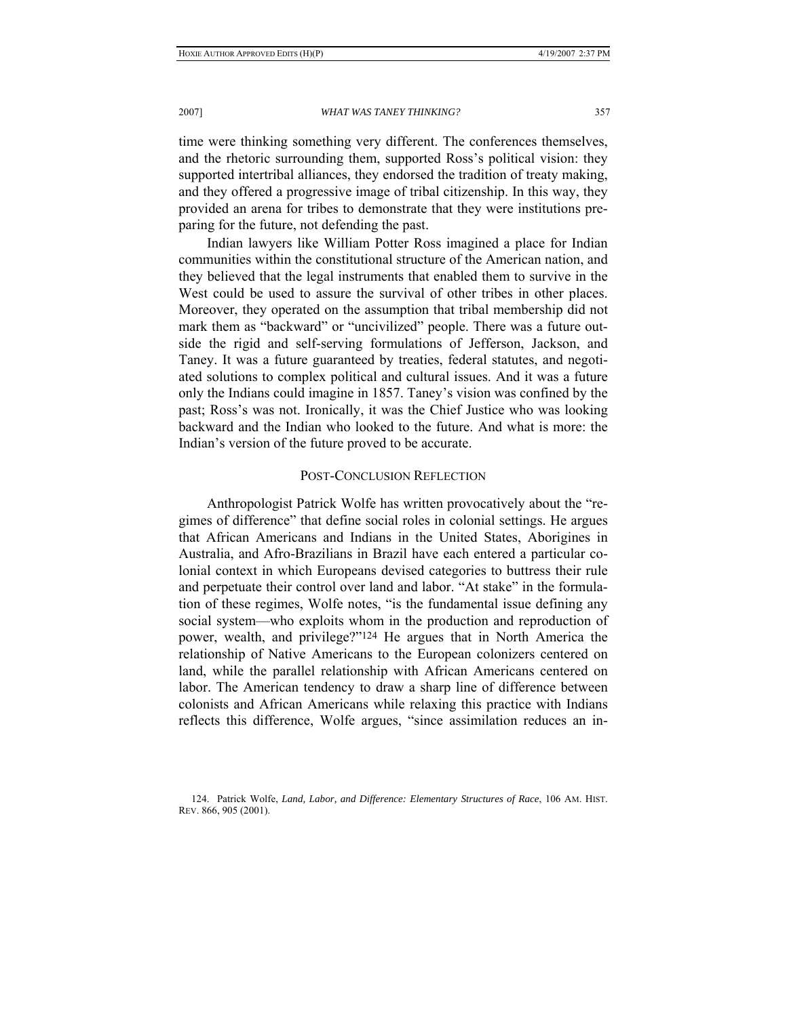time were thinking something very different. The conferences themselves, and the rhetoric surrounding them, supported Ross's political vision: they supported intertribal alliances, they endorsed the tradition of treaty making, and they offered a progressive image of tribal citizenship. In this way, they provided an arena for tribes to demonstrate that they were institutions preparing for the future, not defending the past.

Indian lawyers like William Potter Ross imagined a place for Indian communities within the constitutional structure of the American nation, and they believed that the legal instruments that enabled them to survive in the West could be used to assure the survival of other tribes in other places. Moreover, they operated on the assumption that tribal membership did not mark them as "backward" or "uncivilized" people. There was a future outside the rigid and self-serving formulations of Jefferson, Jackson, and Taney. It was a future guaranteed by treaties, federal statutes, and negotiated solutions to complex political and cultural issues. And it was a future only the Indians could imagine in 1857. Taney's vision was confined by the past; Ross's was not. Ironically, it was the Chief Justice who was looking backward and the Indian who looked to the future. And what is more: the Indian's version of the future proved to be accurate.

# POST-CONCLUSION REFLECTION

Anthropologist Patrick Wolfe has written provocatively about the "regimes of difference" that define social roles in colonial settings. He argues that African Americans and Indians in the United States, Aborigines in Australia, and Afro-Brazilians in Brazil have each entered a particular colonial context in which Europeans devised categories to buttress their rule and perpetuate their control over land and labor. "At stake" in the formulation of these regimes, Wolfe notes, "is the fundamental issue defining any social system—who exploits whom in the production and reproduction of power, wealth, and privilege?"124 He argues that in North America the relationship of Native Americans to the European colonizers centered on land, while the parallel relationship with African Americans centered on labor. The American tendency to draw a sharp line of difference between colonists and African Americans while relaxing this practice with Indians reflects this difference, Wolfe argues, "since assimilation reduces an in-

 124. Patrick Wolfe, *Land, Labor, and Difference: Elementary Structures of Race*, 106 AM. HIST. REV. 866, 905 (2001).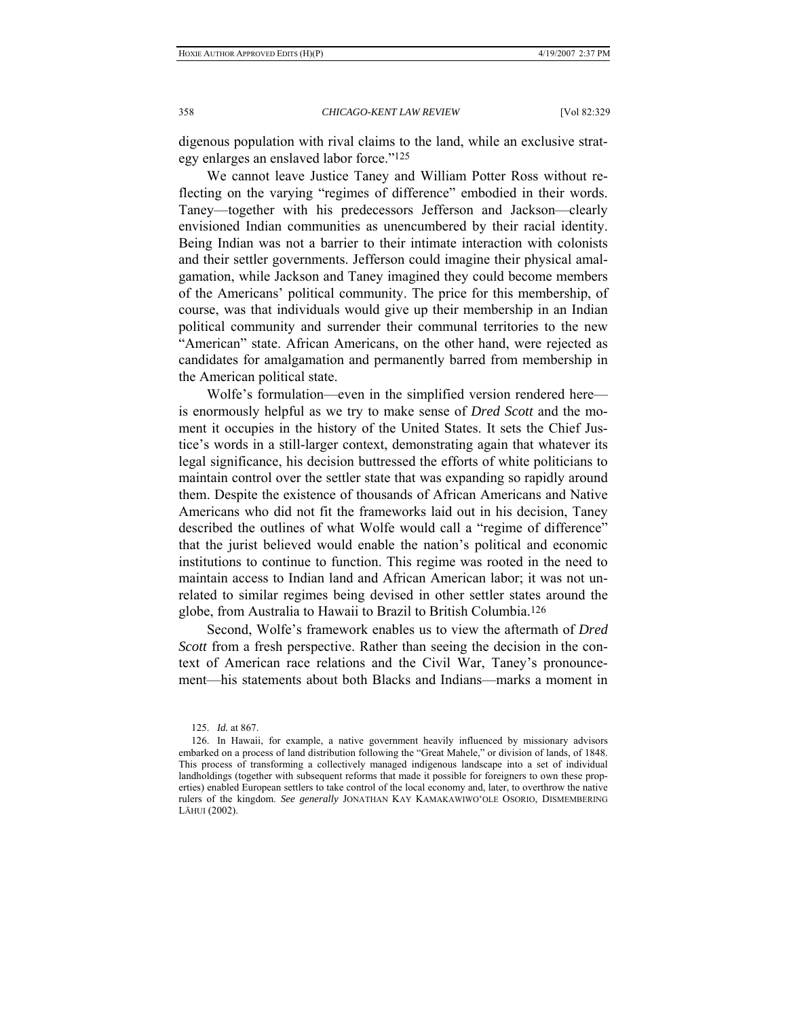digenous population with rival claims to the land, while an exclusive strategy enlarges an enslaved labor force."125

We cannot leave Justice Taney and William Potter Ross without reflecting on the varying "regimes of difference" embodied in their words. Taney—together with his predecessors Jefferson and Jackson—clearly envisioned Indian communities as unencumbered by their racial identity. Being Indian was not a barrier to their intimate interaction with colonists and their settler governments. Jefferson could imagine their physical amalgamation, while Jackson and Taney imagined they could become members of the Americans' political community. The price for this membership, of course, was that individuals would give up their membership in an Indian political community and surrender their communal territories to the new "American" state. African Americans, on the other hand, were rejected as candidates for amalgamation and permanently barred from membership in the American political state.

Wolfe's formulation—even in the simplified version rendered here is enormously helpful as we try to make sense of *Dred Scott* and the moment it occupies in the history of the United States. It sets the Chief Justice's words in a still-larger context, demonstrating again that whatever its legal significance, his decision buttressed the efforts of white politicians to maintain control over the settler state that was expanding so rapidly around them. Despite the existence of thousands of African Americans and Native Americans who did not fit the frameworks laid out in his decision, Taney described the outlines of what Wolfe would call a "regime of difference" that the jurist believed would enable the nation's political and economic institutions to continue to function. This regime was rooted in the need to maintain access to Indian land and African American labor; it was not unrelated to similar regimes being devised in other settler states around the globe, from Australia to Hawaii to Brazil to British Columbia.126

Second, Wolfe's framework enables us to view the aftermath of *Dred Scott* from a fresh perspective. Rather than seeing the decision in the context of American race relations and the Civil War, Taney's pronouncement—his statements about both Blacks and Indians—marks a moment in

 <sup>125.</sup> *Id.* at 867.

 <sup>126.</sup> In Hawaii, for example, a native government heavily influenced by missionary advisors embarked on a process of land distribution following the "Great Mahele," or division of lands, of 1848. This process of transforming a collectively managed indigenous landscape into a set of individual landholdings (together with subsequent reforms that made it possible for foreigners to own these properties) enabled European settlers to take control of the local economy and, later, to overthrow the native rulers of the kingdom. *See generally* JONATHAN KAY KAMAKAWIWO'OLE OSORIO, DISMEMBERING LĀHUI (2002).